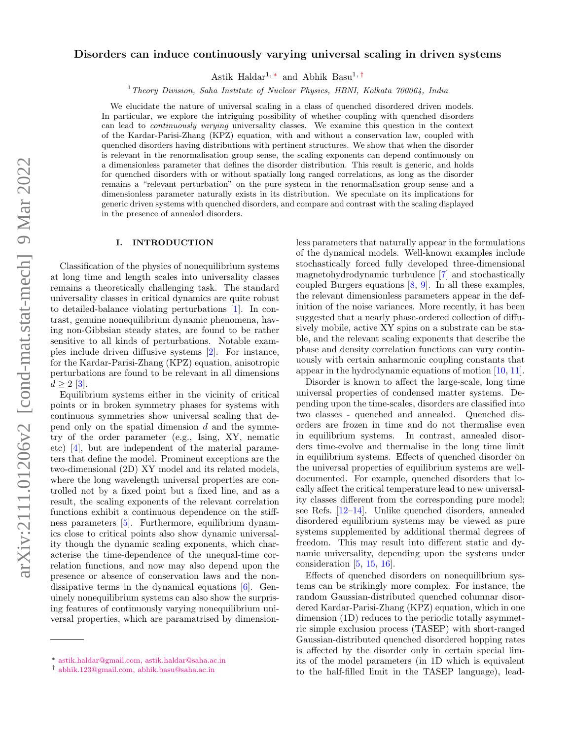# Disorders can induce continuously varying universal scaling in driven systems

Astik Haldar<sup>1,\*</sup> and Abhik Basu<sup>1,[†](#page-0-1)</sup>

 $1$  Theory Division, Saha Institute of Nuclear Physics, HBNI, Kolkata 700064, India

We elucidate the nature of universal scaling in a class of quenched disordered driven models. In particular, we explore the intriguing possibility of whether coupling with quenched disorders can lead to continuously varying universality classes. We examine this question in the context of the Kardar-Parisi-Zhang (KPZ) equation, with and without a conservation law, coupled with quenched disorders having distributions with pertinent structures. We show that when the disorder is relevant in the renormalisation group sense, the scaling exponents can depend continuously on a dimensionless parameter that defines the disorder distribution. This result is generic, and holds for quenched disorders with or without spatially long ranged correlations, as long as the disorder remains a "relevant perturbation" on the pure system in the renormalisation group sense and a dimensionless parameter naturally exists in its distribution. We speculate on its implications for generic driven systems with quenched disorders, and compare and contrast with the scaling displayed in the presence of annealed disorders.

# I. INTRODUCTION

Classification of the physics of nonequilibrium systems at long time and length scales into universality classes remains a theoretically challenging task. The standard universality classes in critical dynamics are quite robust to detailed-balance violating perturbations [\[1\]](#page-17-0). In contrast, genuine nonequilibrium dynamic phenomena, having non-Gibbsian steady states, are found to be rather sensitive to all kinds of perturbations. Notable examples include driven diffusive systems [\[2\]](#page-18-0). For instance, for the Kardar-Parisi-Zhang (KPZ) equation, anisotropic perturbations are found to be relevant in all dimensions  $d > 2$  [\[3\]](#page-18-1).

Equilibrium systems either in the vicinity of critical points or in broken symmetry phases for systems with continuous symmetries show universal scaling that depend only on the spatial dimension  $d$  and the symmetry of the order parameter (e.g., Ising, XY, nematic etc) [\[4\]](#page-18-2), but are independent of the material parameters that define the model. Prominent exceptions are the two-dimensional (2D) XY model and its related models, where the long wavelength universal properties are controlled not by a fixed point but a fixed line, and as a result, the scaling exponents of the relevant correlation functions exhibit a continuous dependence on the stiffness parameters [\[5\]](#page-18-3). Furthermore, equilibrium dynamics close to critical points also show dynamic universality though the dynamic scaling exponents, which characterise the time-dependence of the unequal-time correlation functions, and now may also depend upon the presence or absence of conservation laws and the nondissipative terms in the dynamical equations [\[6\]](#page-18-4). Genuinely nonequilibrium systems can also show the surprising features of continuously varying nonequilibrium universal properties, which are paramatrised by dimensionless parameters that naturally appear in the formulations of the dynamical models. Well-known examples include stochastically forced fully developed three-dimensional magnetohydrodynamic turbulence [\[7\]](#page-18-5) and stochastically coupled Burgers equations [\[8,](#page-18-6) [9\]](#page-18-7). In all these examples, the relevant dimensionless parameters appear in the definition of the noise variances. More recently, it has been suggested that a nearly phase-ordered collection of diffusively mobile, active XY spins on a substrate can be stable, and the relevant scaling exponents that describe the phase and density correlation functions can vary continuously with certain anharmonic coupling constants that appear in the hydrodynamic equations of motion [\[10,](#page-18-8) [11\]](#page-18-9).

Disorder is known to affect the large-scale, long time universal properties of condensed matter systems. Depending upon the time-scales, disorders are classified into two classes - quenched and annealed. Quenched disorders are frozen in time and do not thermalise even in equilibrium systems. In contrast, annealed disorders time-evolve and thermalise in the long time limit in equilibrium systems. Effects of quenched disorder on the universal properties of equilibrium systems are welldocumented. For example, quenched disorders that locally affect the critical temperature lead to new universality classes different from the corresponding pure model; see Refs. [\[12–](#page-18-10)[14\]](#page-18-11). Unlike quenched disorders, annealed disordered equilibrium systems may be viewed as pure systems supplemented by additional thermal degrees of freedom. This may result into different static and dynamic universality, depending upon the systems under consideration [\[5,](#page-18-3) [15,](#page-18-12) [16\]](#page-18-13).

Effects of quenched disorders on nonequilibrium systems can be strikingly more complex. For instance, the random Gaussian-distributed quenched columnar disordered Kardar-Parisi-Zhang (KPZ) equation, which in one dimension (1D) reduces to the periodic totally asymmetric simple exclusion process (TASEP) with short-ranged Gaussian-distributed quenched disordered hopping rates is affected by the disorder only in certain special limits of the model parameters (in 1D which is equivalent to the half-filled limit in the TASEP language), lead-

<span id="page-0-0"></span><sup>∗</sup> [astik.haldar@gmail.com, astik.haldar@saha.ac.in](mailto:astik.haldar@gmail.com, astik.haldar@saha.ac.in)

<span id="page-0-1"></span><sup>†</sup> [abhik.123@gmail.com, abhik.basu@saha.ac.in](mailto:abhik.123@gmail.com, abhik.basu@saha.ac.in)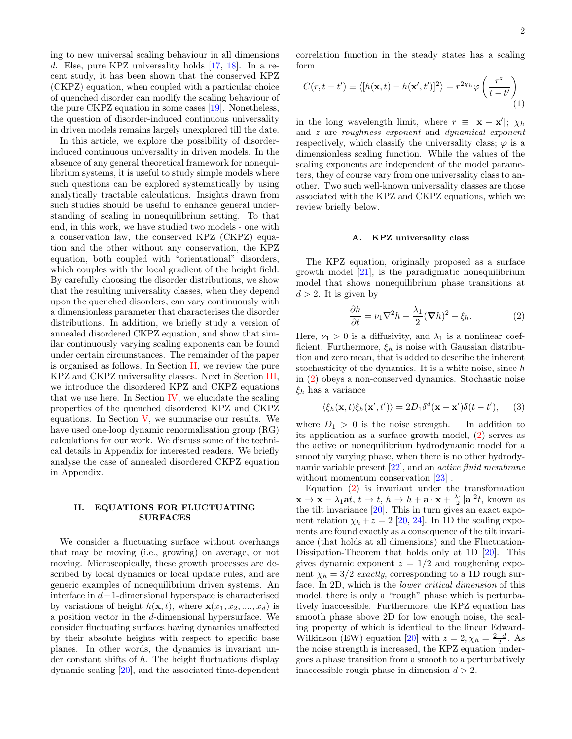<span id="page-1-3"></span>2

ing to new universal scaling behaviour in all dimensions d. Else, pure KPZ universality holds [\[17,](#page-18-14) [18\]](#page-18-15). In a recent study, it has been shown that the conserved KPZ (CKPZ) equation, when coupled with a particular choice of quenched disorder can modify the scaling behaviour of the pure CKPZ equation in some cases [\[19\]](#page-18-16). Nonetheless, the question of disorder-induced continuous universality in driven models remains largely unexplored till the date.

In this article, we explore the possibility of disorderinduced continuous universality in driven models. In the absence of any general theoretical framework for nonequilibrium systems, it is useful to study simple models where such questions can be explored systematically by using analytically tractable calculations. Insights drawn from such studies should be useful to enhance general understanding of scaling in nonequilibrium setting. To that end, in this work, we have studied two models - one with a conservation law, the conserved KPZ (CKPZ) equation and the other without any conservation, the KPZ equation, both coupled with "orientational" disorders, which couples with the local gradient of the height field. By carefully choosing the disorder distributions, we show that the resulting universality classes, when they depend upon the quenched disorders, can vary continuously with a dimensionless parameter that characterises the disorder distributions. In addition, we briefly study a version of annealed disordered CKPZ equation, and show that similar continuously varying scaling exponents can be found under certain circumstances. The remainder of the paper is organised as follows. In Section [II,](#page-1-0) we review the pure KPZ and CKPZ universality classes. Next in Section [III,](#page-2-0) we introduce the disordered KPZ and CKPZ equations that we use here. In Section [IV,](#page-3-0) we elucidate the scaling properties of the quenched disordered KPZ and CKPZ equations. In Section [V,](#page-12-0) we summarise our results. We have used one-loop dynamic renormalisation group (RG) calculations for our work. We discuss some of the technical details in Appendix for interested readers. We briefly analyse the case of annealed disordered CKPZ equation in Appendix.

# <span id="page-1-0"></span>II. EQUATIONS FOR FLUCTUATING SURFACES

We consider a fluctuating surface without overhangs that may be moving (i.e., growing) on average, or not moving. Microscopically, these growth processes are described by local dynamics or local update rules, and are generic examples of nonequilibrium driven systems. An interface in  $d+1$ -dimensional hyperspace is characterised by variations of height  $h(\mathbf{x}, t)$ , where  $\mathbf{x}(x_1, x_2, ..., x_d)$  is a position vector in the d-dimensional hypersurface. We consider fluctuating surfaces having dynamics unaffected by their absolute heights with respect to specific base planes. In other words, the dynamics is invariant under constant shifts of h. The height fluctuations display dynamic scaling [\[20\]](#page-18-17), and the associated time-dependent

correlation function in the steady states has a scaling form

$$
C(r, t - t') \equiv \langle [h(\mathbf{x}, t) - h(\mathbf{x}', t')]^2 \rangle = r^{2\chi_h} \varphi \left(\frac{r^z}{t - t'}\right)
$$
(1)

in the long wavelength limit, where  $r \equiv |\mathbf{x} - \mathbf{x}'|$ ;  $\chi_h$ and z are roughness exponent and dynamical exponent respectively, which classify the universality class;  $\varphi$  is a dimensionless scaling function. While the values of the scaling exponents are independent of the model parameters, they of course vary from one universality class to another. Two such well-known universality classes are those associated with the KPZ and CKPZ equations, which we review briefly below.

### A. KPZ universality class

The KPZ equation, originally proposed as a surface growth model [\[21\]](#page-18-18), is the paradigmatic nonequilibrium model that shows nonequilibrium phase transitions at  $d > 2$ . It is given by

<span id="page-1-2"></span><span id="page-1-1"></span>
$$
\frac{\partial h}{\partial t} = \nu_1 \nabla^2 h - \frac{\lambda_1}{2} (\nabla h)^2 + \xi_h.
$$
 (2)

Here,  $\nu_1 > 0$  is a diffusivity, and  $\lambda_1$  is a nonlinear coefficient. Furthermore,  $\xi_h$  is noise with Gaussian distribution and zero mean, that is added to describe the inherent stochasticity of the dynamics. It is a white noise, since  $h$ in [\(2\)](#page-1-1) obeys a non-conserved dynamics. Stochastic noise  $\xi_h$  has a variance

$$
\langle \xi_h(\mathbf{x},t)\xi_h(\mathbf{x}',t')\rangle = 2D_1\delta^d(\mathbf{x}-\mathbf{x}')\delta(t-t'),\qquad (3)
$$

where  $D_1 > 0$  is the noise strength. In addition to its application as a surface growth model, [\(2\)](#page-1-1) serves as the active or nonequilibrium hydrodynamic model for a smoothly varying phase, when there is no other hydrodynamic variable present [\[22\]](#page-18-19), and an active fluid membrane without momentum conservation [\[23\]](#page-18-20).

Equation [\(2\)](#page-1-1) is invariant under the transformation  $\mathbf{x} \to \mathbf{x} - \lambda_1 \mathbf{a} t, t \to t, h \to h + \mathbf{a} \cdot \mathbf{x} + \frac{\lambda_1}{2} |\mathbf{a}|^2 t$ , known as the tilt invariance [\[20\]](#page-18-17). This in turn gives an exact exponent relation  $\chi_h + z = 2$  [\[20,](#page-18-17) [24\]](#page-18-21). In 1D the scaling exponents are found exactly as a consequence of the tilt invariance (that holds at all dimensions) and the Fluctuation-Dissipation-Theorem that holds only at 1D [\[20\]](#page-18-17). This gives dynamic exponent  $z = 1/2$  and roughening exponent  $\chi_h = 3/2$  exactly, corresponding to a 1D rough surface. In 2D, which is the lower critical dimension of this model, there is only a "rough" phase which is perturbatively inaccessible. Furthermore, the KPZ equation has smooth phase above 2D for low enough noise, the scaling property of which is identical to the linear Edward-Wilkinson (EW) equation [\[20\]](#page-18-17) with  $z = 2, \chi_h = \frac{2-d}{2}$ . As the noise strength is increased, the KPZ equation undergoes a phase transition from a smooth to a perturbatively inaccessible rough phase in dimension  $d > 2$ .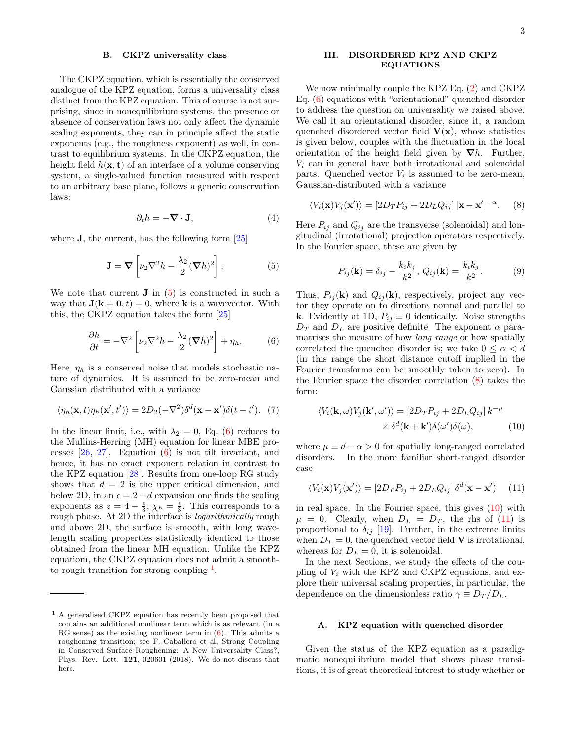## B. CKPZ universality class

The CKPZ equation, which is essentially the conserved analogue of the KPZ equation, forms a universality class distinct from the KPZ equation. This of course is not surprising, since in nonequilibrium systems, the presence or absence of conservation laws not only affect the dynamic scaling exponents, they can in principle affect the static exponents (e.g., the roughness exponent) as well, in contrast to equilibrium systems. In the CKPZ equation, the height field  $h(\mathbf{x}, t)$  of an interface of a volume conserving system, a single-valued function measured with respect to an arbitrary base plane, follows a generic conservation laws:

$$
\partial_t h = -\nabla \cdot \mathbf{J},\tag{4}
$$

where **J**, the current, has the following form [\[25\]](#page-18-22)

$$
\mathbf{J} = \mathbf{\nabla} \left[ \nu_2 \nabla^2 h - \frac{\lambda_2}{2} (\mathbf{\nabla} h)^2 \right]. \tag{5}
$$

We note that current  $\bf{J}$  in [\(5\)](#page-2-1) is constructed in such a way that  $J(k = 0, t) = 0$ , where k is a wavevector. With this, the CKPZ equation takes the form [\[25\]](#page-18-22)

$$
\frac{\partial h}{\partial t} = -\nabla^2 \left[ \nu_2 \nabla^2 h - \frac{\lambda_2}{2} (\nabla h)^2 \right] + \eta_h. \tag{6}
$$

Here,  $\eta_h$  is a conserved noise that models stochastic nature of dynamics. It is assumed to be zero-mean and Gaussian distributed with a variance

$$
\langle \eta_h(\mathbf{x},t)\eta_h(\mathbf{x}',t')\rangle = 2D_2(-\nabla^2)\delta^d(\mathbf{x}-\mathbf{x}')\delta(t-t'). \tag{7}
$$

In the linear limit, i.e., with  $\lambda_2 = 0$ , Eq. [\(6\)](#page-2-2) reduces to the Mullins-Herring (MH) equation for linear MBE processes [\[26,](#page-18-23) [27\]](#page-18-24). Equation [\(6\)](#page-2-2) is not tilt invariant, and hence, it has no exact exponent relation in contrast to the KPZ equation [\[28\]](#page-18-25). Results from one-loop RG study shows that  $d = 2$  is the upper critical dimension, and below 2D, in an  $\epsilon = 2 - d$  expansion one finds the scaling exponents as  $z = 4 - \frac{\epsilon}{3}$ ,  $\chi_h = \frac{\epsilon}{3}$ . This corresponds to a rough phase. At 2D the interface is logarithmically rough and above 2D, the surface is smooth, with long wavelength scaling properties statistically identical to those obtained from the linear MH equation. Unlike the KPZ equatiom, the CKPZ equation does not admit a smoothto-rough transition for strong coupling  $<sup>1</sup>$  $<sup>1</sup>$  $<sup>1</sup>$ .</sup>

# <span id="page-2-0"></span>III. DISORDERED KPZ AND CKPZ EQUATIONS

We now minimally couple the KPZ Eq. [\(2\)](#page-1-1) and CKPZ Eq. [\(6\)](#page-2-2) equations with "orientational" quenched disorder to address the question on universality we raised above. We call it an orientational disorder, since it, a random quenched disordered vector field  $V(x)$ , whose statistics is given below, couples with the fluctuation in the local orientation of the height field given by  $\nabla h$ . Further,  $V_i$  can in general have both irrotational and solenoidal parts. Quenched vector  $V_i$  is assumed to be zero-mean, Gaussian-distributed with a variance

$$
\langle V_i(\mathbf{x})V_j(\mathbf{x}')\rangle = [2D_T P_{ij} + 2D_L Q_{ij}] |\mathbf{x} - \mathbf{x}'|^{-\alpha}.
$$
 (8)

<span id="page-2-1"></span>Here  $P_{ij}$  and  $Q_{ij}$  are the transverse (solenoidal) and longitudinal (irrotational) projection operators respectively. In the Fourier space, these are given by

<span id="page-2-4"></span>
$$
P_{ij}(\mathbf{k}) = \delta_{ij} - \frac{k_i k_j}{k^2}, \ Q_{ij}(\mathbf{k}) = \frac{k_i k_j}{k^2}.
$$
 (9)

<span id="page-2-2"></span>Thus,  $P_{ij}(\mathbf{k})$  and  $Q_{ij}(\mathbf{k})$ , respectively, project any vector they operate on to directions normal and parallel to k. Evidently at 1D,  $P_{ij} \equiv 0$  identically. Noise strengths  $D_T$  and  $D_L$  are positive definite. The exponent  $\alpha$  paramatrises the measure of how long range or how spatially correlated the quenched disorder is; we take  $0 \leq \alpha < d$ (in this range the short distance cutoff implied in the Fourier transforms can be smoothly taken to zero). In the Fourier space the disorder correlation [\(8\)](#page-2-4) takes the form:

<span id="page-2-7"></span><span id="page-2-5"></span>
$$
\langle V_i(\mathbf{k}, \omega) V_j(\mathbf{k}', \omega') \rangle = [2D_T P_{ij} + 2D_L Q_{ij}] k^{-\mu}
$$

$$
\times \delta^d(\mathbf{k} + \mathbf{k}') \delta(\omega') \delta(\omega), \tag{10}
$$

where  $\mu \equiv d - \alpha > 0$  for spatially long-ranged correlated disorders. In the more familiar short-ranged disorder case

<span id="page-2-6"></span>
$$
\langle V_i(\mathbf{x})V_j(\mathbf{x}') \rangle = [2D_T P_{ij} + 2D_L Q_{ij}] \delta^d(\mathbf{x} - \mathbf{x}') \qquad (11)
$$

in real space. In the Fourier space, this gives [\(10\)](#page-2-5) with  $\mu = 0$ . Clearly, when  $D_L = D_T$ , the rhs of [\(11\)](#page-2-6) is proportional to  $\delta_{ij}$  [\[19\]](#page-18-16). Further, in the extreme limits when  $D_T = 0$ , the quenched vector field **V** is irrotational, whereas for  $D<sub>L</sub> = 0$ , it is solenoidal.

In the next Sections, we study the effects of the coupling of  $V_i$  with the KPZ and CKPZ equations, and explore their universal scaling properties, in particular, the dependence on the dimensionless ratio  $\gamma \equiv D_T/D_L$ .

## A. KPZ equation with quenched disorder

Given the status of the KPZ equation as a paradigmatic nonequilibrium model that shows phase transitions, it is of great theoretical interest to study whether or

<span id="page-2-3"></span><sup>1</sup> A generalised CKPZ equation has recently been proposed that contains an additional nonlinear term which is as relevant (in a RG sense) as the existing nonlinear term in  $(6)$ . This admits a roughening transition; see F. Caballero et al, Strong Coupling in Conserved Surface Roughening: A New Universality Class?, Phys. Rev. Lett. 121, 020601 (2018). We do not discuss that here.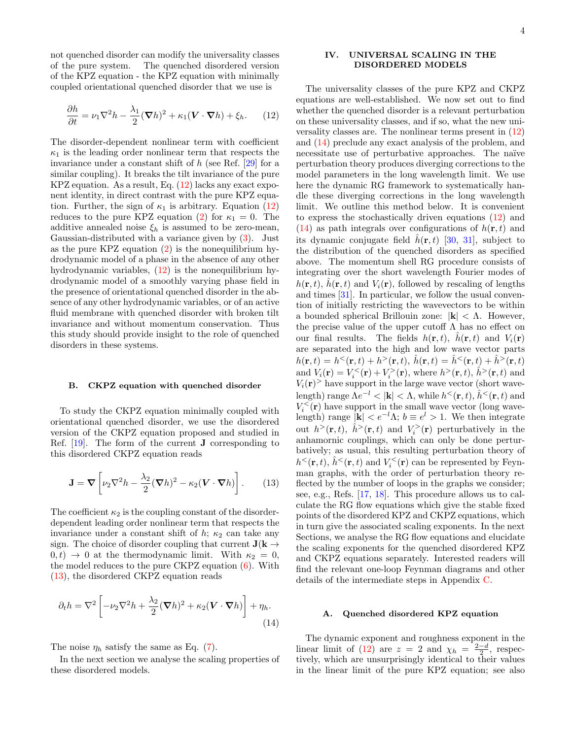not quenched disorder can modify the universality classes of the pure system. The quenched disordered version of the KPZ equation - the KPZ equation with minimally coupled orientational quenched disorder that we use is

$$
\frac{\partial h}{\partial t} = \nu_1 \nabla^2 h - \frac{\lambda_1}{2} (\nabla h)^2 + \kappa_1 (\mathbf{V} \cdot \nabla h) + \xi_h. \tag{12}
$$

The disorder-dependent nonlinear term with coefficient  $\kappa_1$  is the leading order nonlinear term that respects the invariance under a constant shift of  $h$  (see Ref. [\[29\]](#page-18-26) for a similar coupling). It breaks the tilt invariance of the pure KPZ equation. As a result, Eq. [\(12\)](#page-3-1) lacks any exact exponent identity, in direct contrast with the pure KPZ equation. Further, the sign of  $\kappa_1$  is arbitrary. Equation [\(12\)](#page-3-1) reduces to the pure KPZ equation [\(2\)](#page-1-1) for  $\kappa_1 = 0$ . The additive annealed noise  $\xi_h$  is assumed to be zero-mean, Gaussian-distributed with a variance given by [\(3\)](#page-1-2). Just as the pure KPZ equation [\(2\)](#page-1-1) is the nonequilibrium hydrodynamic model of a phase in the absence of any other hydrodynamic variables, [\(12\)](#page-3-1) is the nonequilibrium hydrodynamic model of a smoothly varying phase field in the presence of orientational quenched disorder in the absence of any other hydrodynamic variables, or of an active fluid membrane with quenched disorder with broken tilt invariance and without momentum conservation. Thus this study should provide insight to the role of quenched disorders in these systems.

#### B. CKPZ equation with quenched disorder

To study the CKPZ equation minimally coupled with orientational quenched disorder, we use the disordered version of the CKPZ equation proposed and studied in Ref. [\[19\]](#page-18-16). The form of the current J corresponding to this disordered CKPZ equation reads

$$
\mathbf{J} = \mathbf{\nabla} \left[ \nu_2 \nabla^2 h - \frac{\lambda_2}{2} (\mathbf{\nabla} h)^2 - \kappa_2 (\mathbf{V} \cdot \mathbf{\nabla} h) \right]. \tag{13}
$$

The coefficient  $\kappa_2$  is the coupling constant of the disorderdependent leading order nonlinear term that respects the invariance under a constant shift of  $h$ ;  $\kappa_2$  can take any sign. The choice of disorder coupling that current  $J(k \rightarrow$  $(0, t) \rightarrow 0$  at the thermodynamic limit. With  $\kappa_2 = 0$ , the model reduces to the pure CKPZ equation [\(6\)](#page-2-2). With [\(13\)](#page-3-2), the disordered CKPZ equation reads

$$
\partial_t h = \nabla^2 \left[ -\nu_2 \nabla^2 h + \frac{\lambda_2}{2} (\nabla h)^2 + \kappa_2 (\mathbf{V} \cdot \nabla h) \right] + \eta_h.
$$
\n(14)

The noise  $\eta_h$  satisfy the same as Eq. [\(7\)](#page-2-7).

In the next section we analyse the scaling properties of these disordered models.

# <span id="page-3-0"></span>IV. UNIVERSAL SCALING IN THE DISORDERED MODELS

<span id="page-3-1"></span>The universality classes of the pure KPZ and CKPZ equations are well-established. We now set out to find whether the quenched disorder is a relevant perturbation on these universality classes, and if so, what the new universality classes are. The nonlinear terms present in [\(12\)](#page-3-1) and [\(14\)](#page-3-3) preclude any exact analysis of the problem, and necessitate use of perturbative approaches. The naïve perturbation theory produces diverging corrections to the model parameters in the long wavelength limit. We use here the dynamic RG framework to systematically handle these diverging corrections in the long wavelength limit. We outline this method below. It is convenient to express the stochastically driven equations [\(12\)](#page-3-1) and  $(14)$  as path integrals over configurations of  $h(\mathbf{r}, t)$  and its dynamic conjugate field  $\hat{h}(\mathbf{r},t)$  [\[30,](#page-18-27) [31\]](#page-18-28), subject to the distribution of the quenched disorders as specified above. The momentum shell RG procedure consists of integrating over the short wavelength Fourier modes of  $h(\mathbf{r}, t)$ ,  $\hat{h}(\mathbf{r}, t)$  and  $V_i(\mathbf{r})$ , followed by rescaling of lengths and times [\[31\]](#page-18-28). In particular, we follow the usual convention of initially restricting the wavevectors to be within a bounded spherical Brillouin zone:  $|\mathbf{k}| < \Lambda$ . However, the precise value of the upper cutoff  $\Lambda$  has no effect on our final results. The fields  $h(\mathbf{r}, t)$ ,  $\hat{h}(\mathbf{r}, t)$  and  $V_i(\mathbf{r})$ are separated into the high and low wave vector parts  $h({\bf r},t) = h^<({\bf r},t) + h^>({\bf r},t), \ \hat{h}({\bf r},t) = \hat{h}^<({\bf r},t) + \hat{h}^>({\bf r},t)$ and  $V_i(\mathbf{r}) = V_i^{\langle\mathbf{r}\rangle} + V_i^{\rangle}(\mathbf{r})$ , where  $h^{\rangle}(\mathbf{r}, t)$ ,  $\hat{h}^{\rangle}(\mathbf{r}, t)$  and  $V_i(\mathbf{r})$  have support in the large wave vector (short wavelength) range  $\Lambda e^{-l} < |{\bf k}| < \Lambda$ , while  $h^{\le}({\bf r}, t)$ ,  $\hat{h}^{\le}({\bf r}, t)$  and  $V_i^{\lt}(\mathbf{r})$  have support in the small wave vector (long wavelength) range  $|\mathbf{k}| < e^{-l}\Lambda$ ;  $b \equiv e^{l} > 1$ . We then integrate out  $h^>(\mathbf{r},t)$ ,  $\hat{h}^>(\mathbf{r},t)$  and  $V_i^>(\mathbf{r})$  perturbatively in the anhamornic couplings, which can only be done perturbatively; as usual, this resulting perturbation theory of  $h<sup>lt</sup>(\mathbf{r}, t)$ ,  $\hat{h}<sup>lt</sup>(\mathbf{r}, t)$  and  $V_i<sup>lt</sup>(\mathbf{r})$  can be represented by Feynman graphs, with the order of perturbation theory reflected by the number of loops in the graphs we consider; see, e.g., Refs. [\[17,](#page-18-14) [18\]](#page-18-15). This procedure allows us to calculate the RG flow equations which give the stable fixed points of the disordered KPZ and CKPZ equations, which in turn give the associated scaling exponents. In the next Sections, we analyse the RG flow equations and elucidate the scaling exponents for the quenched disordered KPZ and CKPZ equations separately. Interested readers will find the relevant one-loop Feynman diagrams and other details of the intermediate steps in Appendix [C.](#page-15-0)

## <span id="page-3-2"></span>A. Quenched disordered KPZ equation

<span id="page-3-3"></span>The dynamic exponent and roughness exponent in the linear limit of [\(12\)](#page-3-1) are  $z = 2$  and  $\chi_h = \frac{2-d}{2}$ , respectively, which are unsurprisingly identical to their values in the linear limit of the pure KPZ equation; see also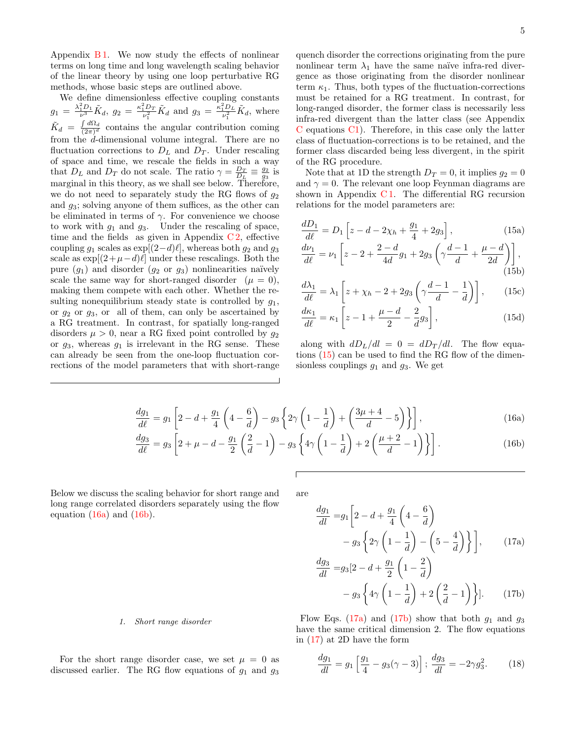Appendix  $B1$ . We now study the effects of nonlinear terms on long time and long wavelength scaling behavior of the linear theory by using one loop perturbative RG methods, whose basic steps are outlined above.

We define dimensionless effective coupling constants  $g_1 = \frac{\lambda_1^2 D_1}{\nu^3} \tilde{K}_d$ ,  $g_2 = \frac{\kappa_1^2 D_T}{\nu_1^2} \tilde{K}_d$  and  $g_3 = \frac{\kappa_1^2 D_L}{\nu_1^2} \tilde{K}_d$ , where  $\tilde{K}_d = \frac{\int d\Omega_d}{(2\pi)^d}$  $\frac{\int \frac{d}{dx} \alpha}{(2\pi)^d}$  contains the angular contribution coming from the d-dimensional volume integral. There are no fluctuation corrections to  $D<sub>L</sub>$  and  $D<sub>T</sub>$ . Under rescaling of space and time, we rescale the fields in such a way that  $D_L$  and  $D_T$  do not scale. The ratio  $\gamma = \frac{D_T}{D_L} \equiv \frac{g_2}{g_3}$  is marginal in this theory, as we shall see below. Therefore, we do not need to separately study the RG flows of  $g_2$ and  $g_3$ ; solving anyone of them suffices, as the other can be eliminated in terms of  $\gamma$ . For convenience we choose to work with  $g_1$  and  $g_3$ . Under the rescaling of space, time and the fields as given in Appendix  $C_2$ , effective coupling  $g_1$  scales as exp[ $(2-d)\ell$ ], whereas both  $g_2$  and  $g_3$ scale as  $\exp[(2+\mu-d)\ell]$  under these rescalings. Both the pure  $(g_1)$  and disorder  $(g_2 \text{ or } g_3)$  nonlinearities naïvely scale the same way for short-ranged disorder  $(\mu = 0)$ , making them compete with each other. Whether the resulting nonequilibrium steady state is controlled by  $g_1$ , or  $g_2$  or  $g_3$ , or all of them, can only be ascertained by a RG treatment. In contrast, for spatially long-ranged disorders  $\mu > 0$ , near a RG fixed point controlled by  $g_2$ or  $g_3$ , whereas  $g_1$  is irrelevant in the RG sense. These can already be seen from the one-loop fluctuation corrections of the model parameters that with short-range

quench disorder the corrections originating from the pure nonlinear term  $\lambda_1$  have the same naïve infra-red divergence as those originating from the disorder nonlinear term  $\kappa_1$ . Thus, both types of the fluctuation-corrections must be retained for a RG treatment. In contrast, for long-ranged disorder, the former class is necessarily less infra-red divergent than the latter class (see Appendix  $C$  equations  $C_1$ ). Therefore, in this case only the latter class of fluctuation-corrections is to be retained, and the former class discarded being less divergent, in the spirit of the RG procedure.

Note that at 1D the strength  $D_T = 0$ , it implies  $g_2 = 0$ and  $\gamma = 0$ . The relevant one loop Feynman diagrams are shown in Appendix  $C1$ . The differential RG recursion relations for the model parameters are:

<span id="page-4-6"></span>
$$
\frac{dD_1}{d\ell} = D_1 \left[ z - d - 2\chi_h + \frac{g_1}{4} + 2g_3 \right],\tag{15a}
$$

<span id="page-4-7"></span>
$$
\frac{d\nu_1}{d\ell} = \nu_1 \left[ z - 2 + \frac{2 - d}{4d} g_1 + 2g_3 \left( \gamma \frac{d - 1}{d} + \frac{\mu - d}{2d} \right) \right],\tag{15b}
$$

$$
\frac{d\lambda_1}{d\ell} = \lambda_1 \left[ z + \chi_h - 2 + 2g_3 \left( \gamma \frac{d-1}{d} - \frac{1}{d} \right) \right],\tag{15c}
$$

<span id="page-4-0"></span>
$$
\frac{d\kappa_1}{d\ell} = \kappa_1 \left[ z - 1 + \frac{\mu - d}{2} - \frac{2}{d} g_3 \right],\tag{15d}
$$

along with  $dD_L/dl = 0 = dD_T/dl$ . The flow equations [\(15\)](#page-4-0) can be used to find the RG flow of the dimensionless couplings  $g_1$  and  $g_3$ . We get

$$
\frac{dg_1}{d\ell} = g_1 \left[ 2 - d + \frac{g_1}{4} \left( 4 - \frac{6}{d} \right) - g_3 \left\{ 2\gamma \left( 1 - \frac{1}{d} \right) + \left( \frac{3\mu + 4}{d} - 5 \right) \right\} \right],\tag{16a}
$$
\n
$$
dg_3 = \left[ 2 + \frac{g_1}{d} \left( \frac{2}{d} - 1 \right) - \frac{1}{2} \left( \frac{1}{d} \left( \frac{1}{d} - \frac{1}{d} \right) + 2 \left( \frac{\mu + 2}{d} - 1 \right) \right) \right]
$$

$$
\frac{3}{2} = g_3 \left[ 2 + \mu - d - \frac{g_1}{2} \left( \frac{2}{d} - 1 \right) - g_3 \left\{ 4\gamma \left( 1 - \frac{1}{d} \right) + 2 \left( \frac{\mu + 2}{d} - 1 \right) \right\} \right].
$$
 (16b)

Below we discuss the scaling behavior for short range and long range correlated disorders separately using the flow equation  $(16a)$  and  $(16b)$ .

 $d\ell$ 

are

<span id="page-4-2"></span><span id="page-4-1"></span>
$$
\frac{dg_1}{dl} = g_1 \left[ 2 - d + \frac{g_1}{4} \left( 4 - \frac{6}{d} \right) - g_3 \left\{ 2\gamma \left( 1 - \frac{1}{d} \right) - \left( 5 - \frac{4}{d} \right) \right\} \right],
$$
\n(17a)\n
$$
\frac{dg_3}{dl} = g_2 \left[ 2 - d + \frac{g_1}{4} \left( 1 - \frac{2}{d} \right) \right]
$$

<span id="page-4-4"></span><span id="page-4-3"></span>
$$
\frac{g_{33}}{dl} = g_3 \left[ 2 - d + \frac{g_1}{2} \left( 1 - \frac{z}{d} \right) - g_3 \left\{ 4\gamma \left( 1 - \frac{1}{d} \right) + 2 \left( \frac{2}{d} - 1 \right) \right\} \right].
$$
 (17b)

1. Short range disorder

For the short range disorder case, we set  $\mu = 0$  as discussed earlier. The RG flow equations of  $g_1$  and  $g_3$ 

Flow Eqs. [\(17a\)](#page-4-3) and [\(17b\)](#page-4-4) show that both  $g_1$  and  $g_3$ have the same critical dimension 2. The flow equations in [\(17\)](#page-4-4) at 2D have the form

<span id="page-4-5"></span>
$$
\frac{dg_1}{dl} = g_1 \left[ \frac{g_1}{4} - g_3(\gamma - 3) \right]; \frac{dg_3}{dl} = -2\gamma g_3^2. \tag{18}
$$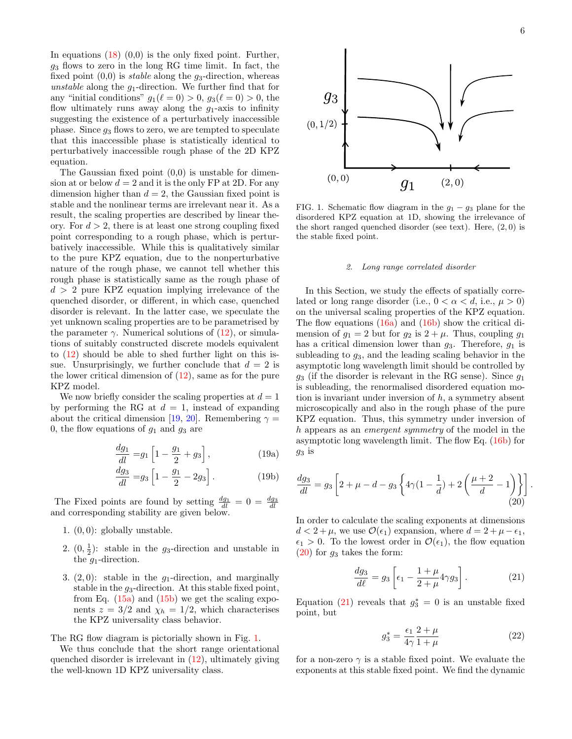In equations  $(18)(0,0)$  $(18)(0,0)$  is the only fixed point. Further,  $g_3$  flows to zero in the long RG time limit. In fact, the fixed point  $(0,0)$  is *stable* along the  $g_3$ -direction, whereas unstable along the  $g_1$ -direction. We further find that for any "initial conditions"  $g_1(\ell = 0) > 0$ ,  $g_3(\ell = 0) > 0$ , the flow ultimately runs away along the  $g_1$ -axis to infinity suggesting the existence of a perturbatively inaccessible phase. Since  $g_3$  flows to zero, we are tempted to speculate that this inaccessible phase is statistically identical to perturbatively inaccessible rough phase of the 2D KPZ equation.

The Gaussian fixed point  $(0,0)$  is unstable for dimension at or below  $d = 2$  and it is the only FP at 2D. For any dimension higher than  $d = 2$ , the Gaussian fixed point is stable and the nonlinear terms are irrelevant near it. As a result, the scaling properties are described by linear theory. For  $d > 2$ , there is at least one strong coupling fixed point corresponding to a rough phase, which is perturbatively inaccessible. While this is qualitatively similar to the pure KPZ equation, due to the nonperturbative nature of the rough phase, we cannot tell whether this rough phase is statistically same as the rough phase of  $d > 2$  pure KPZ equation implying irrelevance of the quenched disorder, or different, in which case, quenched disorder is relevant. In the latter case, we speculate the yet unknown scaling properties are to be parametrised by the parameter  $\gamma$ . Numerical solutions of [\(12\)](#page-3-1), or simulations of suitably constructed discrete models equivalent to [\(12\)](#page-3-1) should be able to shed further light on this issue. Unsurprisingly, we further conclude that  $d = 2$  is the lower critical dimension of [\(12\)](#page-3-1), same as for the pure KPZ model.

We now briefly consider the scaling properties at  $d = 1$ by performing the RG at  $d = 1$ , instead of expanding about the critical dimension [\[19,](#page-18-16) [20\]](#page-18-17). Remembering  $\gamma =$ 0, the flow equations of  $g_1$  and  $g_3$  are

$$
\frac{dg_1}{dl} = g_1 \left[ 1 - \frac{g_1}{2} + g_3 \right],
$$
 (19a)

$$
\frac{dg_3}{dl} = g_3 \left[ 1 - \frac{g_1}{2} - 2g_3 \right].
$$
 (19b)

The Fixed points are found by setting  $\frac{dq_1}{dl} = 0 = \frac{dg_3}{dl}$ and corresponding stability are given below.

- 1.  $(0, 0)$ : globally unstable.
- 2.  $(0, \frac{1}{2})$ : stable in the g<sub>3</sub>-direction and unstable in the  $q_1$ -direction.
- 3.  $(2, 0)$ : stable in the  $g_1$ -direction, and marginally stable in the  $q_3$ -direction. At this stable fixed point, from Eq.  $(15a)$  and  $(15b)$  we get the scaling exponents  $z = 3/2$  and  $\chi_h = 1/2$ , which characterises the KPZ universality class behavior.

The RG flow diagram is pictorially shown in Fig. [1.](#page-5-0)

We thus conclude that the short range orientational quenched disorder is irrelevant in [\(12\)](#page-3-1), ultimately giving the well-known 1D KPZ universality class.



<span id="page-5-0"></span>FIG. 1. Schematic flow diagram in the  $g_1 - g_3$  plane for the disordered KPZ equation at 1D, showing the irrelevance of the short ranged quenched disorder (see text). Here,  $(2, 0)$  is the stable fixed point.

#### <span id="page-5-3"></span>2. Long range correlated disorder

In this Section, we study the effects of spatially correlated or long range disorder (i.e.,  $0 < \alpha < d$ , i.e.,  $\mu > 0$ ) on the universal scaling properties of the KPZ equation. The flow equations  $(16a)$  and  $(16b)$  show the critical dimension of  $g_1 = 2$  but for  $g_2$  is  $2 + \mu$ . Thus, coupling  $g_1$ has a critical dimension lower than  $g_3$ . Therefore,  $g_1$  is subleading to  $g_3$ , and the leading scaling behavior in the asymptotic long wavelength limit should be controlled by  $q_3$  (if the disorder is relevant in the RG sense). Since  $q_1$ is subleading, the renormalised disordered equation motion is invariant under inversion of  $h$ , a symmetry absent microscopically and also in the rough phase of the pure KPZ equation. Thus, this symmetry under inversion of h appears as an emergent symmetry of the model in the asymptotic long wavelength limit. The flow Eq.  $(16b)$  for  $g_3$  is

$$
\frac{dg_3}{dl} = g_3 \left[ 2 + \mu - d - g_3 \left\{ 4\gamma (1 - \frac{1}{d}) + 2 \left( \frac{\mu + 2}{d} - 1 \right) \right\} \right].
$$
\n(20)

In order to calculate the scaling exponents at dimensions  $d < 2 + \mu$ , we use  $\mathcal{O}(\epsilon_1)$  expansion, where  $d = 2 + \mu - \epsilon_1$ ,  $\epsilon_1 > 0$ . To the lowest order in  $\mathcal{O}(\epsilon_1)$ , the flow equation  $(20)$  for  $g_3$  takes the form:

<span id="page-5-1"></span>
$$
\frac{dg_3}{d\ell} = g_3 \left[ \epsilon_1 - \frac{1+\mu}{2+\mu} 4\gamma g_3 \right]. \tag{21}
$$

Equation [\(21\)](#page-5-2) reveals that  $g_3^* = 0$  is an unstable fixed point, but

<span id="page-5-2"></span>
$$
g_3^* = \frac{\epsilon_1}{4\gamma} \frac{2+\mu}{1+\mu} \tag{22}
$$

for a non-zero  $\gamma$  is a stable fixed point. We evaluate the exponents at this stable fixed point. We find the dynamic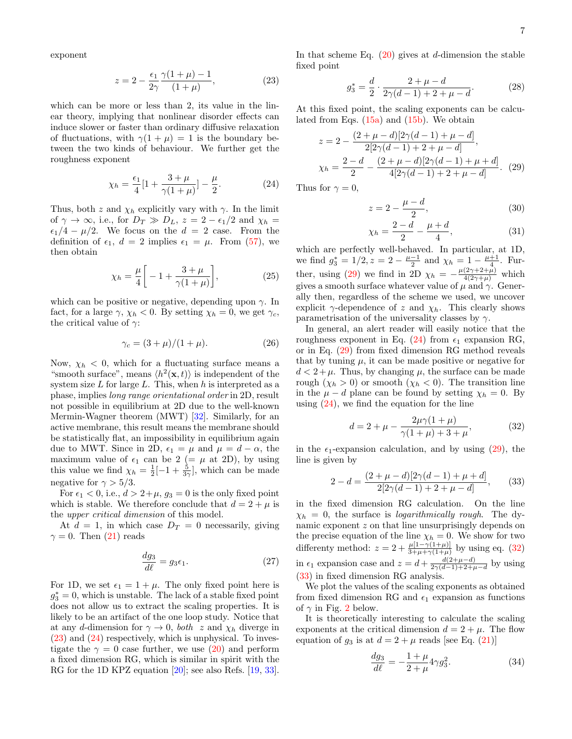exponent

<span id="page-6-0"></span>
$$
z = 2 - \frac{\epsilon_1}{2\gamma} \frac{\gamma(1+\mu) - 1}{(1+\mu)},
$$
\n(23)

which can be more or less than 2, its value in the linear theory, implying that nonlinear disorder effects can induce slower or faster than ordinary diffusive relaxation of fluctuations, with  $\gamma(1 + \mu) = 1$  is the boundary between the two kinds of behaviour. We further get the roughness exponent

<span id="page-6-1"></span>
$$
\chi_h = \frac{\epsilon_1}{4} [1 + \frac{3 + \mu}{\gamma (1 + \mu)}] - \frac{\mu}{2}.
$$
 (24)

Thus, both z and  $\chi_h$  explicitly vary with  $\gamma$ . In the limit of  $\gamma \to \infty$ , i.e., for  $D_T \gg D_L$ ,  $z = 2 - \epsilon_1/2$  and  $\chi_h =$  $\epsilon_1/4 - \mu/2$ . We focus on the  $d = 2$  case. From the definition of  $\epsilon_1$ ,  $d = 2$  implies  $\epsilon_1 = \mu$ . From [\(57\)](#page-11-0), we then obtain

$$
\chi_h = \frac{\mu}{4} \bigg[ -1 + \frac{3+\mu}{\gamma(1+\mu)} \bigg],\tag{25}
$$

which can be positive or negative, depending upon  $\gamma$ . In fact, for a large  $\gamma$ ,  $\chi_h < 0$ . By setting  $\chi_h = 0$ , we get  $\gamma_c$ , the critical value of  $\gamma$ :

$$
\gamma_c = (3 + \mu)/(1 + \mu). \tag{26}
$$

Now,  $\chi_h$  < 0, which for a fluctuating surface means a "smooth surface", means  $\langle h^2(\mathbf{x}, t) \rangle$  is independent of the system size  $L$  for large  $L$ . This, when  $h$  is interpreted as a phase, implies long range orientational order in 2D, result not possible in equilibrium at 2D due to the well-known Mermin-Wagner theorem (MWT) [\[32\]](#page-18-29). Similarly, for an active membrane, this result means the membrane should be statistically flat, an impossibility in equilibrium again due to MWT. Since in 2D,  $\epsilon_1 = \mu$  and  $\mu = d - \alpha$ , the maximum value of  $\epsilon_1$  can be 2 (=  $\mu$  at 2D), by using this value we find  $\chi_h = \frac{1}{2} \left[ -1 + \frac{5}{3\gamma} \right]$ , which can be made negative for  $\gamma > 5/3$ .

For  $\epsilon_1 < 0$ , i.e.,  $d > 2+\mu$ ,  $g_3 = 0$  is the only fixed point which is stable. We therefore conclude that  $d = 2 + \mu$  is the upper critical dimension of this model.

At  $d = 1$ , in which case  $D_T = 0$  necessarily, giving  $\gamma = 0$ . Then [\(21\)](#page-5-2) reads

$$
\frac{dg_3}{d\ell} = g_3 \epsilon_1. \tag{27}
$$

For 1D, we set  $\epsilon_1 = 1 + \mu$ . The only fixed point here is  $g_3^* = 0$ , which is unstable. The lack of a stable fixed point does not allow us to extract the scaling properties. It is likely to be an artifact of the one loop study. Notice that at any d-dimension for  $\gamma \to 0$ , both z and  $\chi_h$  diverge in [\(23\)](#page-6-0) and [\(24\)](#page-6-1) respectively, which is unphysical. To investigate the  $\gamma = 0$  case further, we use [\(20\)](#page-5-1) and perform a fixed dimension RG, which is similar in spirit with the RG for the 1D KPZ equation [\[20\]](#page-18-17); see also Refs. [\[19,](#page-18-16) [33\]](#page-18-30).

In that scheme Eq.  $(20)$  gives at d-dimension the stable fixed point

$$
g_3^* = \frac{d}{2} \cdot \frac{2 + \mu - d}{2\gamma(d - 1) + 2 + \mu - d}.\tag{28}
$$

At this fixed point, the scaling exponents can be calculated from Eqs.  $(15a)$  and  $(15b)$ . We obtain

<span id="page-6-2"></span>
$$
z = 2 - \frac{(2 + \mu - d)[2\gamma(d - 1) + \mu - d]}{2[2\gamma(d - 1) + 2 + \mu - d]},
$$
  
\n
$$
\chi_h = \frac{2 - d}{2} - \frac{(2 + \mu - d)[2\gamma(d - 1) + \mu + d]}{4[2\gamma(d - 1) + 2 + \mu - d]}.
$$
 (29)

Thus for  $\gamma = 0$ ,

$$
z = 2 - \frac{\mu - d}{2},\tag{30}
$$

$$
\chi_h = \frac{2 - d}{2} - \frac{\mu + d}{4},\tag{31}
$$

which are perfectly well-behaved. In particular, at 1D, we find  $g_3^* = 1/2, z = 2 - \frac{\mu - 1}{2}$  and  $\chi_h = 1 - \frac{\mu + 1}{4}$ . Fur-ther, using [\(29\)](#page-6-2) we find in 2D  $\chi_h = -\frac{\mu(2\gamma + 2 + \mu)}{4(2\gamma + \mu)}$  which gives a smooth surface whatever value of  $\mu$  and  $\gamma$ . Generally then, regardless of the scheme we used, we uncover explicit  $\gamma$ -dependence of z and  $\chi_h$ . This clearly shows parametrisation of the universality classes by  $\gamma$ .

In general, an alert reader will easily notice that the roughness exponent in Eq. [\(24\)](#page-6-1) from  $\epsilon_1$  expansion RG, or in Eq. [\(29\)](#page-6-2) from fixed dimension RG method reveals that by tuning  $\mu$ , it can be made positive or negative for  $d < 2 + \mu$ . Thus, by changing  $\mu$ , the surface can be made rough  $(\chi_h > 0)$  or smooth  $(\chi_h < 0)$ . The transition line in the  $\mu - d$  plane can be found by setting  $\chi_h = 0$ . By using  $(24)$ , we find the equation for the line

<span id="page-6-4"></span><span id="page-6-3"></span>
$$
d = 2 + \mu - \frac{2\mu\gamma(1+\mu)}{\gamma(1+\mu) + 3 + \mu},
$$
 (32)

in the  $\epsilon_1$ -expansion calculation, and by using [\(29\)](#page-6-2), the line is given by

$$
2 - d = \frac{(2 + \mu - d)[2\gamma(d - 1) + \mu + d]}{2[2\gamma(d - 1) + 2 + \mu - d]},
$$
 (33)

in the fixed dimension RG calculation. On the line  $\chi_h = 0$ , the surface is *logarithmically rough*. The dynamic exponent z on that line unsurprisingly depends on the precise equation of the line  $\chi_h = 0$ . We show for two differenty method:  $z = 2 + \frac{\mu[1-\gamma(1+\mu)]}{3+\mu+\gamma(1+\mu)}$  by using eq. [\(32\)](#page-6-3) in  $\epsilon_1$  expansion case and  $z = d + \frac{d(2+\mu-d)}{2\gamma(d-1)+2+\mu}$  $\frac{a(2+\mu-a)}{2\gamma(d-1)+2+\mu-d}$  by using [\(33\)](#page-6-4) in fixed dimension RG analysis.

<span id="page-6-6"></span>We plot the values of the scaling exponents as obtained from fixed dimension RG and  $\epsilon_1$  expansion as functions of  $\gamma$  in Fig. [2](#page-7-0) below.

It is theoretically interesting to calculate the scaling exponents at the critical dimension  $d = 2 + \mu$ . The flow equation of  $g_3$  is at  $d = 2 + \mu$  reads [see Eq. [\(21\)](#page-5-2)]

<span id="page-6-5"></span>
$$
\frac{dg_3}{d\ell} = -\frac{1+\mu}{2+\mu} 4\gamma g_3^2.
$$
 (34)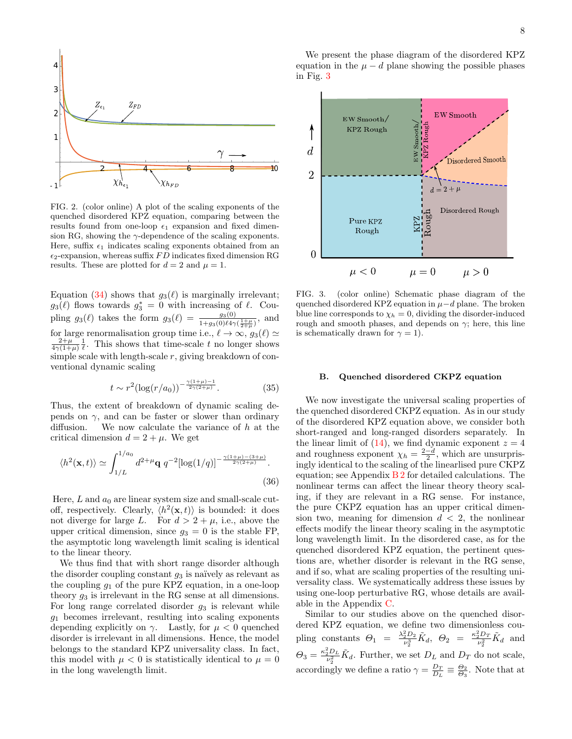

<span id="page-7-0"></span>FIG. 2. (color online) A plot of the scaling exponents of the quenched disordered KPZ equation, comparing between the results found from one-loop  $\epsilon_1$  expansion and fixed dimension RG, showing the  $\gamma$ -dependence of the scaling exponents. Here, suffix  $\epsilon_1$  indicates scaling exponents obtained from an  $\epsilon_2$ -expansion, whereas suffix FD indicates fixed dimension RG results. These are plotted for  $d = 2$  and  $\mu = 1$ .

Equation [\(34\)](#page-6-5) shows that  $g_3(\ell)$  is marginally irrelevant;  $g_3(\ell)$  flows towards  $g_3^* = 0$  with increasing of  $\ell$ . Coupling  $g_3(\ell)$  takes the form  $g_3(\ell) = \frac{g_3(0)}{1+g_3(0)\ell 4\gamma(\frac{1+\mu}{2+\mu})}$ , and for large renormalisation group time i.e.,  $\ell \to \infty,$   $g_3(\ell) \simeq$  $\frac{2+\mu}{4\gamma(1+\mu)}\frac{1}{\ell}$ . This shows that time-scale t no longer shows simple scale with length-scale  $r$ , giving breakdown of conventional dynamic scaling

$$
t \sim r^2 (\log(r/a_0))^{-\frac{\gamma(1+\mu)-1}{2\gamma(2+\mu)}}.\tag{35}
$$

Thus, the extent of breakdown of dynamic scaling depends on  $\gamma$ , and can be faster or slower than ordinary diffusion. We now calculate the variance of  $h$  at the critical dimension  $d = 2 + \mu$ . We get

$$
\langle h^2(\mathbf{x},t) \rangle \simeq \int_{1/L}^{1/a_0} d^{2+\mu} \mathbf{q} \ q^{-2} [\log(1/q)]^{-\frac{\gamma(1+\mu)-(3+\mu)}{2\gamma(2+\mu)}}.
$$
\n(36)

Here,  $L$  and  $a_0$  are linear system size and small-scale cutoff, respectively. Clearly,  $\langle h^2(\mathbf{x},t) \rangle$  is bounded: it does not diverge for large L. For  $d > 2 + \mu$ , i.e., above the upper critical dimension, since  $g_3 = 0$  is the stable FP. the asymptotic long wavelength limit scaling is identical to the linear theory.

We thus find that with short range disorder although the disorder coupling constant  $g_3$  is naïvely as relevant as the coupling  $g_1$  of the pure KPZ equation, in a one-loop theory  $g_3$  is irrelevant in the RG sense at all dimensions. For long range correlated disorder  $g_3$  is relevant while  $g_1$  becomes irrelevant, resulting into scaling exponents depending explicitly on  $\gamma$ . Lastly, for  $\mu < 0$  quenched disorder is irrelevant in all dimensions. Hence, the model belongs to the standard KPZ universality class. In fact, this model with  $\mu < 0$  is statistically identical to  $\mu = 0$ in the long wavelength limit.

We present the phase diagram of the disordered KPZ equation in the  $\mu - d$  plane showing the possible phases in Fig. [3](#page-7-1)



<span id="page-7-1"></span>FIG. 3. (color online) Schematic phase diagram of the quenched disordered KPZ equation in  $\mu - d$  plane. The broken blue line corresponds to  $\chi_h = 0$ , dividing the disorder-induced rough and smooth phases, and depends on  $\gamma$ ; here, this line is schematically drawn for  $\gamma = 1$ ).

### B. Quenched disordered CKPZ equation

We now investigate the universal scaling properties of the quenched disordered CKPZ equation. As in our study of the disordered KPZ equation above, we consider both short-ranged and long-ranged disorders separately. In the linear limit of  $(14)$ , we find dynamic exponent  $z = 4$ and roughness exponent  $\chi_h = \frac{2-d}{2}$ , which are unsurprisingly identical to the scaling of the linearlised pure CKPZ equation; see Appendix [B 2](#page-15-3) for detailed calculations. The nonlinear terms can affect the linear theory theory scaling, if they are relevant in a RG sense. For instance, the pure CKPZ equation has an upper critical dimension two, meaning for dimension  $d < 2$ , the nonlinear effects modify the linear theory scaling in the asymptotic long wavelength limit. In the disordered case, as for the quenched disordered KPZ equation, the pertinent questions are, whether disorder is relevant in the RG sense, and if so, what are scaling properties of the resulting universality class. We systematically address these issues by using one-loop perturbative RG, whose details are available in the Appendix [C.](#page-15-0)

Similar to our studies above on the quenched disordered KPZ equation, we define two dimensionless coupling constants  $\Theta_1 = \frac{\lambda_2^2 D_2}{\nu_2^3} \tilde{K}_d$ ,  $\Theta_2 = \frac{\kappa_2^2 D_T}{\nu_2^2} \tilde{K}_d$  and  $\Theta_3 = \frac{\kappa_2^2 D_L}{\nu_2^2} \tilde{K}_d$ . Further, we set  $D_L$  and  $D_T$  do not scale, accordingly we define a ratio  $\gamma = \frac{D_T}{D_L} \equiv \frac{\Theta_2}{\Theta_3}$ . Note that at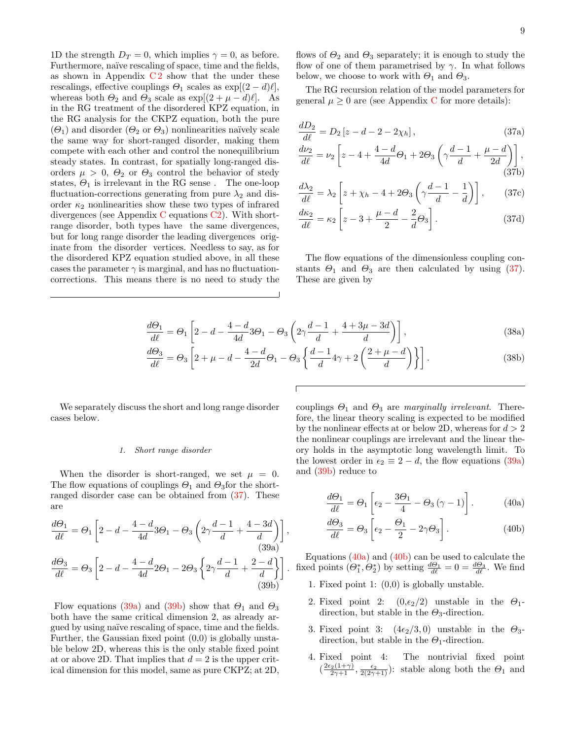1D the strength  $D_T = 0$ , which implies  $\gamma = 0$ , as before. Furthermore, naïve rescaling of space, time and the fields, as shown in Appendix  $C2$  show that the under these rescalings, effective couplings  $\Theta_1$  scales as  $\exp[(2 - d)\ell],$ whereas both  $\Theta_2$  and  $\Theta_3$  scale as  $\exp[(2 + \mu - d)\ell]$ . As in the RG treatment of the disordered KPZ equation, in the RG analysis for the CKPZ equation, both the pure  $(\Theta_1)$  and disorder  $(\Theta_2 \text{ or } \Theta_3)$  nonlinearities naïvely scale the same way for short-ranged disorder, making them compete with each other and control the nonequilibrium steady states. In contrast, for spatially long-ranged disorders  $\mu > 0$ ,  $\Theta_2$  or  $\Theta_3$  control the behavior of stedy states,  $\Theta_1$  is irrelevant in the RG sense. The one-loop fluctuation-corrections generating from pure  $\lambda_2$  and disorder  $\kappa_2$  nonlinearities show these two types of infrared divergences (see Appendix [C](#page-15-0) equations [C2\)](#page-16-2). With shortrange disorder, both types have the same divergences, but for long range disorder the leading divergences originate from the disorder vertices. Needless to say, as for the disordered KPZ equation studied above, in all these cases the parameter  $\gamma$  is marginal, and has no fluctuationcorrections. This means there is no need to study the

<span id="page-8-6"></span><span id="page-8-5"></span><span id="page-8-0"></span> $(37<sub>b</sub>)$ 

flows of  $\Theta_2$  and  $\Theta_3$  separately; it is enough to study the flow of one of them parametrised by  $\gamma$ . In what follows below, we choose to work with  $\Theta_1$  and  $\Theta_3$ .

The RG recursion relation of the model parameters for general  $\mu > 0$  are (see Appendix [C](#page-15-0) for more details):

$$
\frac{dD_2}{d\ell} = D_2 \left[ z - d - 2 - 2\chi_h \right],\tag{37a}
$$
\n
$$
\frac{d\nu_2}{d\ell} = \nu_2 \left[ z - 4 + \frac{4 - d}{4d} \Theta_1 + 2\Theta_3 \left( \gamma \frac{d - 1}{d} + \frac{\mu - d}{2d} \right) \right],
$$

$$
\frac{d\lambda_2}{d\ell} = \lambda_2 \left[ z + \chi_h - 4 + 2\Theta_3 \left( \gamma \frac{d-1}{d} - \frac{1}{d} \right) \right],\tag{37c}
$$

$$
\frac{d\kappa_2}{d\ell} = \kappa_2 \left[ z - 3 + \frac{\mu - d}{2} - \frac{2}{d} \Theta_3 \right].
$$
\n(37d)

The flow equations of the dimensionless coupling constants  $\Theta_1$  and  $\Theta_3$  are then calculated by using [\(37\)](#page-8-0). These are given by

$$
\frac{d\Theta_1}{d\ell} = \Theta_1 \left[ 2 - d - \frac{4 - d}{4d} 3\Theta_1 - \Theta_3 \left( 2\gamma \frac{d - 1}{d} + \frac{4 + 3\mu - 3d}{d} \right) \right],\tag{38a}
$$

$$
\frac{d\Theta_3}{d\ell} = \Theta_3 \left[ 2 + \mu - d - \frac{4 - d}{2d} \Theta_1 - \Theta_3 \left\{ \frac{d - 1}{d} 4\gamma + 2 \left( \frac{2 + \mu - d}{d} \right) \right\} \right].
$$
\n(38b)

We separately discuss the short and long range disorder cases below.

 $d\Theta$ 

#### 1. Short range disorder

When the disorder is short-ranged, we set  $\mu = 0$ . The flow equations of couplings  $\Theta_1$  and  $\Theta_3$  for the shortranged disorder case can be obtained from [\(37\)](#page-8-0). These are

$$
\frac{d\Theta_1}{d\ell} = \Theta_1 \left[ 2 - d - \frac{4 - d}{4d} 3\Theta_1 - \Theta_3 \left( 2\gamma \frac{d - 1}{d} + \frac{4 - 3d}{d} \right) \right],
$$
\n(39a)  
\n
$$
\frac{d\Theta_3}{d\ell} = \Theta_3 \left[ 2 - d - \frac{4 - d}{4d} 2\Theta_1 - 2\Theta_3 \left\{ 2\gamma \frac{d - 1}{d} + \frac{2 - d}{d} \right\} \right].
$$
\n(39b)

Flow equations [\(39a\)](#page-8-1) and [\(39b\)](#page-8-2) show that  $\Theta_1$  and  $\Theta_3$ both have the same critical dimension 2, as already argued by using na¨ıve rescaling of space, time and the fields. Further, the Gaussian fixed point  $(0,0)$  is globally unstable below 2D, whereas this is the only stable fixed point at or above 2D. That implies that  $d = 2$  is the upper critical dimension for this model, same as pure CKPZ; at 2D, couplings  $\Theta_1$  and  $\Theta_3$  are marginally irrelevant. Therefore, the linear theory scaling is expected to be modified by the nonlinear effects at or below 2D, whereas for  $d > 2$ the nonlinear couplings are irrelevant and the linear theory holds in the asymptotic long wavelength limit. To the lowest order in  $\epsilon_2 \equiv 2 - d$ , the flow equations [\(39a\)](#page-8-1) and [\(39b\)](#page-8-2) reduce to

<span id="page-8-3"></span>
$$
\frac{d\Theta_1}{d\ell} = \Theta_1 \left[ \epsilon_2 - \frac{3\Theta_1}{4} - \Theta_3 \left( \gamma - 1 \right) \right]. \tag{40a}
$$

<span id="page-8-4"></span>
$$
\frac{d\Theta_3}{d\ell} = \Theta_3 \left[ \epsilon_2 - \frac{\Theta_1}{2} - 2\gamma \Theta_3 \right].
$$
 (40b)

<span id="page-8-2"></span><span id="page-8-1"></span>Equations (40a) and (40b) can be used to catuate the<br>  $\begin{pmatrix} \frac{d\Theta_1}{d\theta} & \frac{d\Theta_1}{d\theta} \\ \frac{d\Theta_1}{d\theta} & \frac{d\Theta_2}{d\theta} \end{pmatrix}$ . We find Equations  $(40a)$  and  $(40b)$  can be used to calculate the

- 1. Fixed point 1: (0,0) is globally unstable.
- 2. Fixed point 2:  $(0, \epsilon_2/2)$  unstable in the  $\Theta_1$ direction, but stable in the  $\Theta_3$ -direction.
- 3. Fixed point 3:  $(4\epsilon_2/3, 0)$  unstable in the  $\Theta_3$ direction, but stable in the  $\Theta_1$ -direction.
- 4. Fixed point 4: The nontrivial fixed point  $\left(\frac{2\epsilon_2(1+\gamma)}{2\gamma+1}, \frac{\epsilon_2}{2(2\gamma+1)}\right)$ : stable along both the  $\Theta_1$  and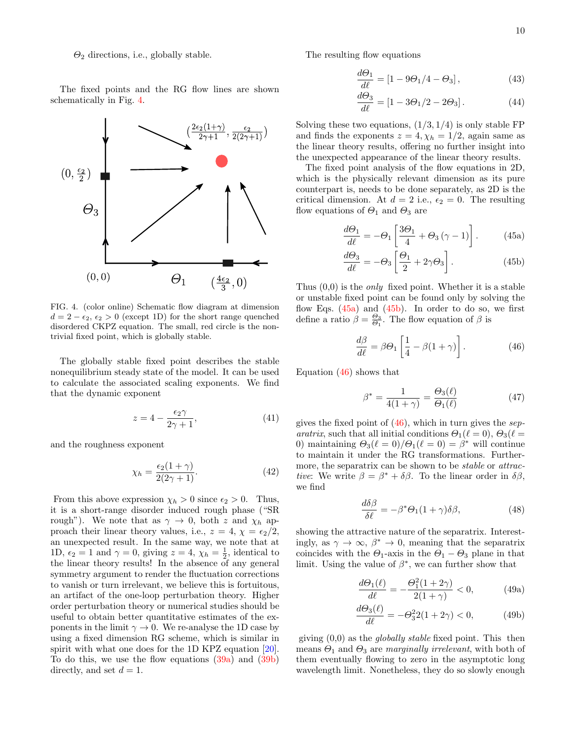$\Theta_2$  directions, i.e., globally stable.

The fixed points and the RG flow lines are shown schematically in Fig. [4.](#page-9-0)



<span id="page-9-0"></span>FIG. 4. (color online) Schematic flow diagram at dimension  $d = 2 - \epsilon_2, \epsilon_2 > 0$  (except 1D) for the short range quenched disordered CKPZ equation. The small, red circle is the nontrivial fixed point, which is globally stable.

The globally stable fixed point describes the stable nonequilibrium steady state of the model. It can be used to calculate the associated scaling exponents. We find that the dynamic exponent

$$
z = 4 - \frac{\epsilon_2 \gamma}{2\gamma + 1},\tag{41}
$$

and the roughness exponent

$$
\chi_h = \frac{\epsilon_2 (1 + \gamma)}{2(2\gamma + 1)}.\tag{42}
$$

From this above expression  $\chi_h > 0$  since  $\epsilon_2 > 0$ . Thus, it is a short-range disorder induced rough phase ("SR rough"). We note that as  $\gamma \to 0$ , both z and  $\chi_h$  approach their linear theory values, i.e.,  $z = 4$ ,  $\chi = \epsilon_2/2$ , an unexpected result. In the same way, we note that at 1D,  $\epsilon_2 = 1$  and  $\gamma = 0$ , giving  $z = 4$ ,  $\chi_h = \frac{1}{2}$ , identical to the linear theory results! In the absence of any general symmetry argument to render the fluctuation corrections to vanish or turn irrelevant, we believe this is fortuitous, an artifact of the one-loop perturbation theory. Higher order perturbation theory or numerical studies should be useful to obtain better quantitative estimates of the exponents in the limit  $\gamma \to 0$ . We re-analyse the 1D case by using a fixed dimension RG scheme, which is similar in spirit with what one does for the 1D KPZ equation [\[20\]](#page-18-17). To do this, we use the flow equations [\(39a\)](#page-8-1) and [\(39b\)](#page-8-2) directly, and set  $d = 1$ .

The resulting flow equations

$$
\frac{d\Theta_1}{d\ell} = \left[1 - 9\Theta_1/4 - \Theta_3\right],\tag{43}
$$

$$
\frac{d\Theta_3}{d\ell} = [1 - 3\Theta_1/2 - 2\Theta_3].\tag{44}
$$

Solving these two equations,  $(1/3, 1/4)$  is only stable FP and finds the exponents  $z = 4, \chi_h = 1/2$ , again same as the linear theory results, offering no further insight into the unexpected appearance of the linear theory results.

The fixed point analysis of the flow equations in 2D, which is the physically relevant dimension as its pure counterpart is, needs to be done separately, as 2D is the critical dimension. At  $d = 2$  i.e.,  $\epsilon_2 = 0$ . The resulting flow equations of  $\Theta_1$  and  $\Theta_3$  are

<span id="page-9-1"></span>
$$
\frac{d\Theta_1}{d\ell} = -\Theta_1 \left[ \frac{3\Theta_1}{4} + \Theta_3 \left( \gamma - 1 \right) \right]. \tag{45a}
$$

<span id="page-9-2"></span>
$$
\frac{d\Theta_3}{d\ell} = -\Theta_3 \left[ \frac{\Theta_1}{2} + 2\gamma \Theta_3 \right].
$$
 (45b)

Thus  $(0,0)$  is the *only* fixed point. Whether it is a stable or unstable fixed point can be found only by solving the flow Eqs.  $(45a)$  and  $(45b)$ . In order to do so, we first define a ratio  $\beta = \frac{\Theta_3}{\Theta_1}$ . The flow equation of  $\beta$  is

<span id="page-9-3"></span>
$$
\frac{d\beta}{d\ell} = \beta \Theta_1 \left[ \frac{1}{4} - \beta (1 + \gamma) \right]. \tag{46}
$$

Equation [\(46\)](#page-9-3) shows that

<span id="page-9-4"></span>
$$
\beta^* = \frac{1}{4(1+\gamma)} = \frac{\Theta_3(\ell)}{\Theta_1(\ell)}\tag{47}
$$

gives the fixed point of  $(46)$ , which in turn gives the separatrix, such that all initial conditions  $\Theta_1(\ell = 0)$ ,  $\Theta_3(\ell = 1)$ 0) maintaining  $\Theta_3(\ell = 0)/\Theta_1(\ell = 0) = \beta^*$  will continue to maintain it under the RG transformations. Furthermore, the separatrix can be shown to be *stable* or *attrac*tive: We write  $\beta = \beta^* + \delta\beta$ . To the linear order in  $\delta\beta$ , we find

$$
\frac{d\delta\beta}{\delta\ell} = -\beta^* \Theta_1 (1+\gamma)\delta\beta,\tag{48}
$$

showing the attractive nature of the separatrix. Interestingly, as  $\gamma \to \infty$ ,  $\beta^* \to 0$ , meaning that the separatrix coincides with the  $\Theta_1$ -axis in the  $\Theta_1 - \Theta_3$  plane in that limit. Using the value of  $\beta^*$ , we can further show that

$$
\frac{d\Theta_1(\ell)}{d\ell} = -\frac{\Theta_1^2(1+2\gamma)}{2(1+\gamma)} < 0,\tag{49a}
$$

$$
\frac{d\Theta_3(\ell)}{d\ell} = -\Theta_3^2 2(1+2\gamma) < 0,\tag{49b}
$$

giving  $(0,0)$  as the *globally stable* fixed point. This then means  $\Theta_1$  and  $\Theta_3$  are marginally irrelevant, with both of them eventually flowing to zero in the asymptotic long wavelength limit. Nonetheless, they do so slowly enough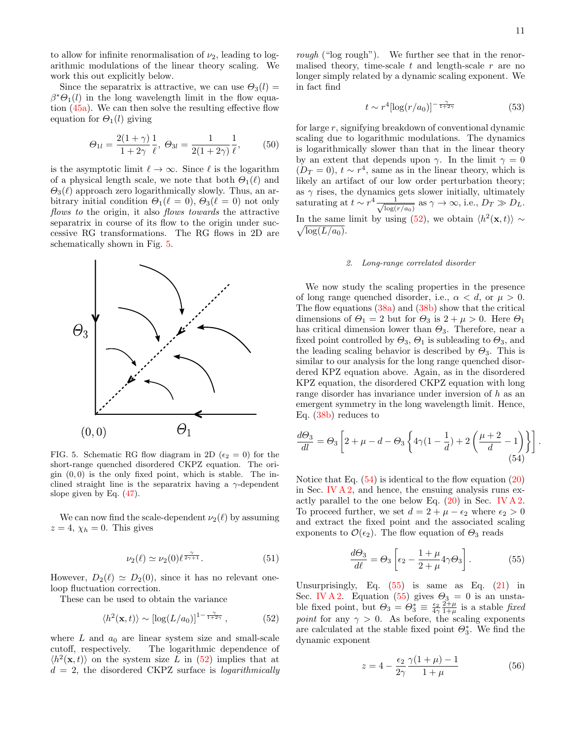to allow for infinite renormalisation of  $\nu_2$ , leading to logarithmic modulations of the linear theory scaling. We work this out explicitly below.

Since the separatrix is attractive, we can use  $\Theta_3(l)$  =  $\beta^* \Theta_1(l)$  in the long wavelength limit in the flow equation [\(45a\)](#page-9-1). We can then solve the resulting effective flow equation for  $\Theta_1(l)$  giving

$$
\Theta_{1l} = \frac{2(1+\gamma)}{1+2\gamma} \frac{1}{\ell}, \ \Theta_{3l} = \frac{1}{2(1+2\gamma)} \frac{1}{\ell}, \tag{50}
$$

is the asymptotic limit  $\ell \to \infty$ . Since  $\ell$  is the logarithm of a physical length scale, we note that both  $\Theta_1(\ell)$  and  $\Theta_3(\ell)$  approach zero logarithmically slowly. Thus, an arbitrary initial condition  $\Theta_1(\ell = 0)$ ,  $\Theta_3(\ell = 0)$  not only flows to the origin, it also flows towards the attractive separatrix in course of its flow to the origin under successive RG transformations. The RG flows in 2D are schematically shown in Fig. [5.](#page-10-0)



<span id="page-10-0"></span>FIG. 5. Schematic RG flow diagram in 2D ( $\epsilon_2 = 0$ ) for the short-range quenched disordered CKPZ equation. The origin  $(0, 0)$  is the only fixed point, which is stable. The inclined straight line is the separatrix having a  $\gamma$ -dependent slope given by Eq. [\(47\)](#page-9-4).

We can now find the scale-dependent  $\nu_2(\ell)$  by assuming  $z = 4$ ,  $\chi_h = 0$ . This gives

$$
\nu_2(\ell) \simeq \nu_2(0) \ell^{\frac{\gamma}{2\gamma+1}}.\tag{51}
$$

However,  $D_2(\ell) \simeq D_2(0)$ , since it has no relevant oneloop fluctuation correction.

These can be used to obtain the variance

$$
\langle h^2(\mathbf{x},t) \rangle \sim \left[ \log(L/a_0) \right]^{1-\frac{\gamma}{1+2\gamma}},\tag{52}
$$

where  $L$  and  $a_0$  are linear system size and small-scale cutoff, respectively. The logarithmic dependence of  $\langle h^2(\mathbf{x}, t) \rangle$  on the system size L in [\(52\)](#page-10-1) implies that at  $d = 2$ , the disordered CKPZ surface is *logarithmically* 

rough ("log rough"). We further see that in the renormalised theory, time-scale  $t$  and length-scale  $r$  are no longer simply related by a dynamic scaling exponent. We in fact find

$$
t \sim r^4 [\log(r/a_0)]^{-\frac{\gamma}{1+2\gamma}} \tag{53}
$$

for large r, signifying breakdown of conventional dynamic scaling due to logarithmic modulations. The dynamics is logarithmically slower than that in the linear theory by an extent that depends upon  $\gamma$ . In the limit  $\gamma = 0$  $(D_T = 0)$ ,  $t \sim r^4$ , same as in the linear theory, which is likely an artifact of our low order perturbation theory; as  $\gamma$  rises, the dynamics gets slower initially, ultimately saturating at  $t \sim r^4 \frac{1}{\sqrt{1-r^2}}$  $\frac{1}{\log(r/a_0)}$  as  $\gamma \to \infty$ , i.e.,  $D_T \gg D_L$ . In the same limit by using [\(52\)](#page-10-1), we obtain  $\langle h^2(\mathbf{x},t) \rangle \sim$  $\sqrt{\log(L/a_0)}$ .

#### 2. Long-range correlated disorder

We now study the scaling properties in the presence of long range quenched disorder, i.e.,  $\alpha < d$ , or  $\mu > 0$ . The flow equations  $(38a)$  and  $(38b)$  show that the critical dimensions of  $\Theta_1 = 2$  but for  $\Theta_3$  is  $2 + \mu > 0$ . Here  $\Theta_1$ has critical dimension lower than  $\Theta_3$ . Therefore, near a fixed point controlled by  $\Theta_3$ ,  $\Theta_1$  is subleading to  $\Theta_3$ , and the leading scaling behavior is described by  $\Theta_3$ . This is similar to our analysis for the long range quenched disordered KPZ equation above. Again, as in the disordered KPZ equation, the disordered CKPZ equation with long range disorder has invariance under inversion of h as an emergent symmetry in the long wavelength limit. Hence, Eq. [\(38b\)](#page-8-6) reduces to

$$
\frac{d\Theta_3}{dl} = \Theta_3 \left[ 2 + \mu - d - \Theta_3 \left\{ 4\gamma (1 - \frac{1}{d}) + 2 \left( \frac{\mu + 2}{d} - 1 \right) \right\} \right].
$$
\n(54)

Notice that Eq.  $(54)$  is identical to the flow equation  $(20)$ in Sec. [IV A 2,](#page-5-3) and hence, the ensuing analysis runs exactly parallel to the one below Eq.  $(20)$  in Sec. [IV A 2.](#page-5-3) To proceed further, we set  $d = 2 + \mu - \epsilon_2$  where  $\epsilon_2 > 0$ and extract the fixed point and the associated scaling exponents to  $\mathcal{O}(\epsilon_2)$ . The flow equation of  $\Theta_3$  reads

<span id="page-10-3"></span><span id="page-10-2"></span>
$$
\frac{d\Theta_3}{d\ell} = \Theta_3 \left[ \epsilon_2 - \frac{1+\mu}{2+\mu} 4\gamma \Theta_3 \right]. \tag{55}
$$

<span id="page-10-1"></span>Unsurprisingly, Eq.  $(55)$  is same as Eq.  $(21)$  in Sec. [IV A 2.](#page-5-3) Equation [\(55\)](#page-10-3) gives  $\Theta_3 = 0$  is an unstable fixed point, but  $\Theta_3 = \Theta_3^* \equiv \frac{\epsilon_2}{4\gamma} \frac{2^2+\mu}{1+\mu}$  is a stable fixed *point* for any  $\gamma > 0$ . As before, the scaling exponents are calculated at the stable fixed point  $\Theta_3^*$ . We find the dynamic exponent

$$
z = 4 - \frac{\epsilon_2}{2\gamma} \frac{\gamma(1+\mu) - 1}{1+\mu} \tag{56}
$$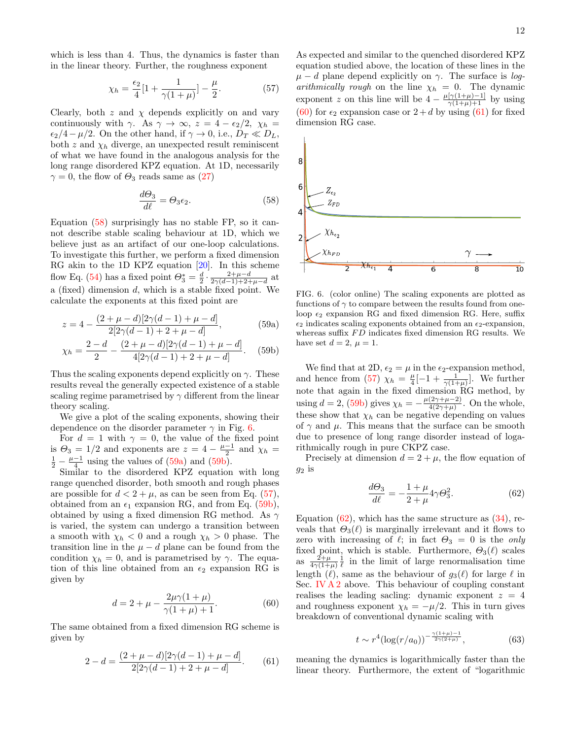which is less than 4. Thus, the dynamics is faster than in the linear theory. Further, the roughness exponent

<span id="page-11-0"></span>
$$
\chi_h = \frac{\epsilon_2}{4} [1 + \frac{1}{\gamma (1 + \mu)}] - \frac{\mu}{2}.
$$
 (57)

Clearly, both  $z$  and  $\chi$  depends explicitly on and vary continuously with  $\gamma$ . As  $\gamma \to \infty$ ,  $z = 4 - \epsilon_2/2$ ,  $\chi_h =$  $\epsilon_2/4 - \mu/2$ . On the other hand, if  $\gamma \to 0$ , i.e.,  $D_T \ll D_L$ , both z and  $\chi_h$  diverge, an unexpected result reminiscent of what we have found in the analogous analysis for the long range disordered KPZ equation. At 1D, necessarily  $\gamma = 0$ , the flow of  $\Theta_3$  reads same as [\(27\)](#page-6-6)

$$
\frac{d\Theta_3}{d\ell} = \Theta_3 \epsilon_2. \tag{58}
$$

Equation [\(58\)](#page-11-1) surprisingly has no stable FP, so it cannot describe stable scaling behaviour at 1D, which we believe just as an artifact of our one-loop calculations. To investigate this further, we perform a fixed dimension RG akin to the 1D KPZ equation [\[20\]](#page-18-17). In this scheme flow Eq. [\(54\)](#page-10-2) has a fixed point  $\Theta_3^* = \frac{d}{2} \cdot \frac{2+\mu-d}{2\gamma(d-1)+2+\mu-d}$  at a (fixed) dimension  $d$ , which is a stable fixed point. We calculate the exponents at this fixed point are

$$
z = 4 - \frac{(2 + \mu - d)[2\gamma(d - 1) + \mu - d]}{2[2\gamma(d - 1) + 2 + \mu - d]},
$$
\n(59a)

$$
\chi_h = \frac{2-d}{2} - \frac{(2+\mu-d)[2\gamma(d-1)+\mu-d]}{4[2\gamma(d-1)+2+\mu-d]}.
$$
 (59b)

Thus the scaling exponents depend explicitly on  $\gamma$ . These results reveal the generally expected existence of a stable scaling regime parametrised by  $\gamma$  different from the linear theory scaling.

We give a plot of the scaling exponents, showing their dependence on the disorder parameter  $\gamma$  in Fig. [6.](#page-11-2)

For  $d = 1$  with  $\gamma = 0$ , the value of the fixed point is  $\Theta_3 = 1/2$  and exponents are  $z = 4 - \frac{\mu - 1}{2}$  and  $\chi_h =$  $\frac{1}{2} - \frac{\mu - 1}{4}$  using the values of [\(59a\)](#page-11-3) and [\(59b\)](#page-11-4).

Similar to the disordered KPZ equation with long range quenched disorder, both smooth and rough phases are possible for  $d < 2 + \mu$ , as can be seen from Eq. [\(57\)](#page-11-0), obtained from an  $\epsilon_1$  expansion RG, and from Eq. [\(59b\)](#page-11-4), obtained by using a fixed dimension RG method. As  $\gamma$ is varied, the system can undergo a transition between a smooth with  $\chi_h < 0$  and a rough  $\chi_h > 0$  phase. The transition line in the  $\mu - d$  plane can be found from the condition  $\chi_h = 0$ , and is parametrised by  $\gamma$ . The equation of this line obtained from an  $\epsilon_2$  expansion RG is given by

$$
d = 2 + \mu - \frac{2\mu\gamma(1+\mu)}{\gamma(1+\mu) + 1}.
$$
 (60)

The same obtained from a fixed dimension RG scheme is given by

$$
2 - d = \frac{(2 + \mu - d)[2\gamma(d - 1) + \mu - d]}{2[2\gamma(d - 1) + 2 + \mu - d]}.
$$
 (61)

As expected and similar to the quenched disordered KPZ equation studied above, the location of these lines in the  $\mu - d$  plane depend explicitly on  $\gamma$ . The surface is logarithmically rough on the line  $\chi_h = 0$ . The dynamic exponent z on this line will be  $4 - \frac{\mu[\gamma(1+\mu)-1]}{\gamma(1+\mu)+1}$  by using [\(60\)](#page-11-5) for  $\epsilon_2$  expansion case or  $2+d$  by using [\(61\)](#page-11-6) for fixed dimension RG case.

<span id="page-11-1"></span>

<span id="page-11-3"></span><span id="page-11-2"></span>FIG. 6. (color online) The scaling exponents are plotted as functions of  $\gamma$  to compare between the results found from oneloop  $\epsilon_2$  expansion RG and fixed dimension RG. Here, suffix  $\epsilon_2$  indicates scaling exponents obtained from an  $\epsilon_2$ -expansion, whereas suffix  $FD$  indicates fixed dimension RG results. We have set  $d = 2$ ,  $\mu = 1$ .

<span id="page-11-4"></span>We find that at 2D,  $\epsilon_2 = \mu$  in the  $\epsilon_2$ -expansion method, and hence from [\(57\)](#page-11-0)  $\chi_h = \frac{\mu}{4}[-1 + \frac{1}{\gamma(1+\mu)}]$ . We further note that again in the fixed dimension RG method, by using  $d = 2$ , [\(59b\)](#page-11-4) gives  $\chi_h = -\frac{\mu(2\gamma + \mu - 2)}{4(2\gamma + \mu)}$  $\frac{(2\gamma+\mu-2)}{4(2\gamma+\mu)}$ . On the whole, these show that  $\chi_h$  can be negative depending on values of  $\gamma$  and  $\mu$ . This means that the surface can be smooth due to presence of long range disorder instead of logarithmically rough in pure CKPZ case.

Precisely at dimension  $d = 2 + \mu$ , the flow equation of  $g_2$  is

<span id="page-11-7"></span>
$$
\frac{d\Theta_3}{d\ell} = -\frac{1+\mu}{2+\mu} 4\gamma \Theta_3^2.
$$
 (62)

Equation  $(62)$ , which has the same structure as  $(34)$ , reveals that  $\Theta_3(\ell)$  is marginally irrelevant and it flows to zero with increasing of  $\ell$ ; in fact  $\Theta_3 = 0$  is the only fixed point, which is stable. Furthermore,  $\Theta_3(\ell)$  scales as  $\frac{2+\mu}{4\gamma(1+\mu)}\frac{1}{\ell}$  in the limit of large renormalisation time length ( $\ell$ ), same as the behaviour of  $g_3(\ell)$  for large  $\ell$  in Sec. [IV A 2](#page-5-3) above. This behaviour of coupling constant realises the leading sacling: dynamic exponent  $z = 4$ and roughness exponent  $\chi_h = -\mu/2$ . This in turn gives breakdown of conventional dynamic scaling with

$$
t \sim r^4 (\log(r/a_0))^{-\frac{\gamma(1+\mu)-1}{2\gamma(2+\mu)}},\tag{63}
$$

<span id="page-11-6"></span><span id="page-11-5"></span>meaning the dynamics is logarithmically faster than the linear theory. Furthermore, the extent of "logarithmic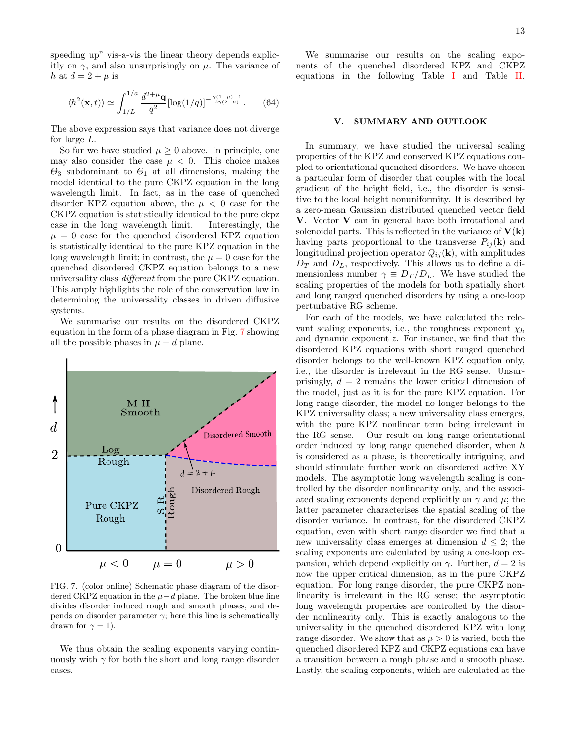speeding up" vis-a-vis the linear theory depends explicitly on  $\gamma$ , and also unsurprisingly on  $\mu$ . The variance of h at  $d = 2 + \mu$  is

$$
\langle h^2(\mathbf{x},t) \rangle \simeq \int_{1/L}^{1/a} \frac{d^{2+\mu}\mathbf{q}}{q^2} [\log(1/q)]^{-\frac{\gamma(1+\mu)-1}{2\gamma(2+\mu)}}. \qquad (64)
$$

The above expression says that variance does not diverge for large L.

So far we have studied  $\mu > 0$  above. In principle, one may also consider the case  $\mu < 0$ . This choice makes  $\Theta_3$  subdominant to  $\Theta_1$  at all dimensions, making the model identical to the pure CKPZ equation in the long wavelength limit. In fact, as in the case of quenched disorder KPZ equation above, the  $\mu < 0$  case for the CKPZ equation is statistically identical to the pure ckpz case in the long wavelength limit. Interestingly, the  $\mu = 0$  case for the quenched disordered KPZ equation is statistically identical to the pure KPZ equation in the long wavelength limit; in contrast, the  $\mu = 0$  case for the quenched disordered CKPZ equation belongs to a new universality class different from the pure CKPZ equation. This amply highlights the role of the conservation law in determining the universality classes in driven diffusive systems.

We summarise our results on the disordered CKPZ equation in the form of a phase diagram in Fig. [7](#page-12-1) showing all the possible phases in  $\mu - d$  plane.



<span id="page-12-1"></span>FIG. 7. (color online) Schematic phase diagram of the disordered CKPZ equation in the  $\mu - d$  plane. The broken blue line divides disorder induced rough and smooth phases, and depends on disorder parameter  $\gamma$ ; here this line is schematically drawn for  $\gamma = 1$ ).

We thus obtain the scaling exponents varying continuously with  $\gamma$  for both the short and long range disorder cases.

We summarise our results on the scaling exponents of the quenched disordered KPZ and CKPZ equations in the following Table [I](#page-13-0) and Table [II.](#page-13-1)

# <span id="page-12-0"></span>V. SUMMARY AND OUTLOOK

In summary, we have studied the universal scaling properties of the KPZ and conserved KPZ equations coupled to orientational quenched disorders. We have chosen a particular form of disorder that couples with the local gradient of the height field, i.e., the disorder is sensitive to the local height nonuniformity. It is described by a zero-mean Gaussian distributed quenched vector field V. Vector V can in general have both irrotational and solenoidal parts. This is reflected in the variance of  $V(k)$ having parts proportional to the transverse  $P_{ij}(\mathbf{k})$  and longitudinal projection operator  $Q_{ij}(\mathbf{k})$ , with amplitudes  $D_T$  and  $D_L$ , respectively. This allows us to define a dimensionless number  $\gamma \equiv D_T/D_L$ . We have studied the scaling properties of the models for both spatially short and long ranged quenched disorders by using a one-loop perturbative RG scheme.

For each of the models, we have calculated the relevant scaling exponents, i.e., the roughness exponent  $\chi_h$ and dynamic exponent z. For instance, we find that the disordered KPZ equations with short ranged quenched disorder belongs to the well-known KPZ equation only, i.e., the disorder is irrelevant in the RG sense. Unsurprisingly,  $d = 2$  remains the lower critical dimension of the model, just as it is for the pure KPZ equation. For long range disorder, the model no longer belongs to the KPZ universality class; a new universality class emerges, with the pure KPZ nonlinear term being irrelevant in the RG sense. Our result on long range orientational order induced by long range quenched disorder, when h is considered as a phase, is theoretically intriguing, and should stimulate further work on disordered active XY models. The asymptotic long wavelength scaling is controlled by the disorder nonlinearity only, and the associated scaling exponents depend explicitly on  $\gamma$  and  $\mu$ ; the latter parameter characterises the spatial scaling of the disorder variance. In contrast, for the disordered CKPZ equation, even with short range disorder we find that a new universality class emerges at dimension  $d \leq 2$ ; the scaling exponents are calculated by using a one-loop expansion, which depend explicitly on  $\gamma$ . Further,  $d = 2$  is now the upper critical dimension, as in the pure CKPZ equation. For long range disorder, the pure CKPZ nonlinearity is irrelevant in the RG sense; the asymptotic long wavelength properties are controlled by the disorder nonlinearity only. This is exactly analogous to the universality in the quenched disordered KPZ with long range disorder. We show that as  $\mu > 0$  is varied, both the quenched disordered KPZ and CKPZ equations can have a transition between a rough phase and a smooth phase. Lastly, the scaling exponents, which are calculated at the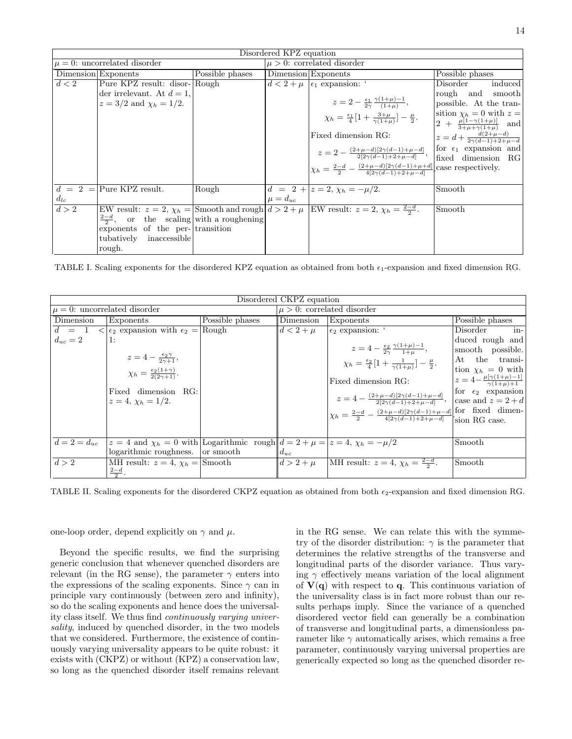| Disordered KPZ equation |                                                    |                 |                                 |                                                                                                                       |                                                            |  |  |  |  |  |
|-------------------------|----------------------------------------------------|-----------------|---------------------------------|-----------------------------------------------------------------------------------------------------------------------|------------------------------------------------------------|--|--|--|--|--|
|                         | $\mu = 0$ : uncorrelated disorder                  |                 | $\mu > 0$ : correlated disorder |                                                                                                                       |                                                            |  |  |  |  |  |
|                         | Dimension Exponents                                | Possible phases |                                 | Dimension Exponents                                                                                                   | Possible phases                                            |  |  |  |  |  |
| d < 2                   | Pure KPZ result: disor- Rough                      |                 |                                 | $d < 2 + \mu$ $\epsilon_1$ expansion: '                                                                               | induced<br>Disorder                                        |  |  |  |  |  |
|                         | der irrelevant. At $d=1$ ,                         |                 |                                 |                                                                                                                       | rough and smooth                                           |  |  |  |  |  |
|                         | $z = 3/2$ and $\chi_h = 1/2$ .                     |                 |                                 | $z = 2 - \frac{\epsilon_1}{2\gamma} \frac{\gamma(1+\mu)-1}{(1+\mu)},$                                                 | possible. At the tran-                                     |  |  |  |  |  |
|                         |                                                    |                 |                                 | $\chi_h = \frac{\epsilon_1}{4} [1 + \frac{3 + \mu}{\gamma (1 + \mu)}] - \frac{\mu}{2}.$                               | sition $\chi_h = 0$ with $z =$                             |  |  |  |  |  |
|                         |                                                    |                 |                                 |                                                                                                                       | $2 + \frac{\mu[1-\gamma(1+\mu)]}{3+\mu+\gamma(1+\mu)}$ and |  |  |  |  |  |
|                         |                                                    |                 |                                 | Fixed dimension RG:                                                                                                   | $z = d + \frac{d(2+\mu-d)}{2\gamma(d-1)+2+\mu-d}$          |  |  |  |  |  |
|                         |                                                    |                 |                                 | $z = 2 - \frac{(2+\mu-d)[2\gamma(d-1)+\mu-d]}{2[2\gamma(d-1)+2+\mu-d]},$                                              | for $\epsilon_1$ expansion and                             |  |  |  |  |  |
|                         |                                                    |                 |                                 |                                                                                                                       | fixed dimension RG                                         |  |  |  |  |  |
|                         |                                                    |                 |                                 | $\chi_h = \frac{2-d}{2} - \frac{(2+\mu-d)[2\gamma(d-1)+\mu+d]}{4[2\gamma(d-1)+2+\mu-d]}$ case respectively.           |                                                            |  |  |  |  |  |
|                         |                                                    |                 |                                 |                                                                                                                       |                                                            |  |  |  |  |  |
|                         | $d = 2 =$ Pure KPZ result.                         | Rough           |                                 | $d = 2 +  z = 2, \chi_h = -\mu/2.$                                                                                    | Smooth                                                     |  |  |  |  |  |
| $d_{lc}$                |                                                    |                 | $\mu = d_{uc}$                  |                                                                                                                       |                                                            |  |  |  |  |  |
| d > 2                   |                                                    |                 |                                 | EW result: $z = 2$ , $\chi_h =  \text{Smooth and rough}  d > 2 + \mu$ EW result: $z = 2$ , $\chi_h = \frac{2-d}{2}$ . | Smooth                                                     |  |  |  |  |  |
|                         | $\frac{2-d}{2}$ , or the scaling with a roughening |                 |                                 |                                                                                                                       |                                                            |  |  |  |  |  |
|                         | exponents of the per- transition                   |                 |                                 |                                                                                                                       |                                                            |  |  |  |  |  |
|                         | tubatively inaccessible                            |                 |                                 |                                                                                                                       |                                                            |  |  |  |  |  |
|                         | rough.                                             |                 |                                 |                                                                                                                       |                                                            |  |  |  |  |  |

<span id="page-13-0"></span>TABLE I. Scaling exponents for the disordered KPZ equation as obtained from both  $\epsilon_1$ -expansion and fixed dimension RG.

| Disordered CKPZ equation          |                                                                                                                                                               |                 |                                 |                                                                                                                                                                                                                                                                                                                                                                                   |                                                                                                                                                                                                                  |  |  |  |  |
|-----------------------------------|---------------------------------------------------------------------------------------------------------------------------------------------------------------|-----------------|---------------------------------|-----------------------------------------------------------------------------------------------------------------------------------------------------------------------------------------------------------------------------------------------------------------------------------------------------------------------------------------------------------------------------------|------------------------------------------------------------------------------------------------------------------------------------------------------------------------------------------------------------------|--|--|--|--|
| $\mu = 0$ : uncorrelated disorder |                                                                                                                                                               |                 | $\mu > 0$ : correlated disorder |                                                                                                                                                                                                                                                                                                                                                                                   |                                                                                                                                                                                                                  |  |  |  |  |
| Dimension                         | Exponents                                                                                                                                                     | Possible phases | Dimension                       | Exponents                                                                                                                                                                                                                                                                                                                                                                         | Possible phases                                                                                                                                                                                                  |  |  |  |  |
| $d = 1$                           | $\langle \epsilon_2 \rangle$ expansion with $\epsilon_2 = \sqrt{\text{Rough}}$                                                                                |                 | $d < 2 + \mu$                   | $\epsilon_2$ expansion: $\epsilon$                                                                                                                                                                                                                                                                                                                                                | Disorder<br>in-                                                                                                                                                                                                  |  |  |  |  |
| $d_{uc}=2$                        | 1:<br>$z=4-\frac{\epsilon_2\gamma}{2\gamma+1},$<br>$\chi_h = \frac{\epsilon_2(1+\gamma)}{2(2\gamma+1)}.$<br>Fixed dimension RG:<br>$z = 4$ , $\chi_h = 1/2$ . |                 |                                 | $z = 4 - \frac{\epsilon_2}{2\gamma} \frac{\gamma(1+\mu)-1}{1+\mu},$<br>$\chi_h = \frac{\epsilon_2}{4} [1 + \frac{1}{\gamma(1+u)}] - \frac{\mu}{2}.$<br>Fixed dimension RG:<br>$z = 4 - \frac{(2+\mu-d)[2\gamma(d-1)+\mu-d]}{2[2\gamma(d-1)+2+\mu-d]},$<br>$\left \chi_h = \frac{2-d}{2} - \frac{(2+\mu-d)[2\gamma(d-1)+\mu-d]}{4[2\gamma(d-1)+2+\mu-d]} \right $ for fixed dimen- | duced rough and<br>smooth possible.<br>At the transi-<br>tion $\chi_h = 0$ with<br>$z = 4 - \frac{\mu[\gamma(1+\mu)-1]}{\gamma(1+\mu)+1}$<br>for $\epsilon_2$ expansion<br>case and $z = 2 + d$<br>sion RG case. |  |  |  |  |
| $d=2=d_{uc}$                      | $z = 4$ and $\chi_h = 0$ with Logarithmic rough $d = 2 + \mu =  z  = 4$ , $\chi_h = -\mu/2$                                                                   |                 |                                 |                                                                                                                                                                                                                                                                                                                                                                                   | Smooth                                                                                                                                                                                                           |  |  |  |  |
|                                   | logarithmic roughness. or smooth                                                                                                                              |                 | $d_{uc}$                        |                                                                                                                                                                                                                                                                                                                                                                                   |                                                                                                                                                                                                                  |  |  |  |  |
| d > 2                             | MH result: $z = 4$ , $\chi_h =  \text{Smooth} $<br>$rac{2-d}{2}$ .                                                                                            |                 | $d > 2 + \mu$                   | MH result: $z = 4$ , $\chi_h = \frac{2-d}{2}$ .                                                                                                                                                                                                                                                                                                                                   | Smooth                                                                                                                                                                                                           |  |  |  |  |

<span id="page-13-1"></span>TABLE II. Scaling exponents for the disordered CKPZ equation as obtained from both  $\epsilon_2$ -expansion and fixed dimension RG.

one-loop order, depend explicitly on  $\gamma$  and  $\mu$ .

Beyond the specific results, we find the surprising generic conclusion that whenever quenched disorders are relevant (in the RG sense), the parameter  $\gamma$  enters into the expressions of the scaling exponents. Since  $\gamma$  can in principle vary continuously (between zero and infinity), so do the scaling exponents and hence does the universality class itself. We thus find continuously varying universality, induced by quenched disorder, in the two models that we considered. Furthermore, the existence of continuously varying universality appears to be quite robust: it exists with (CKPZ) or without (KPZ) a conservation law, so long as the quenched disorder itself remains relevant

in the RG sense. We can relate this with the symmetry of the disorder distribution:  $\gamma$  is the parameter that determines the relative strengths of the transverse and longitudinal parts of the disorder variance. Thus varying  $\gamma$  effectively means variation of the local alignment of  $V(q)$  with respect to q. This continuous variation of the universality class is in fact more robust than our results perhaps imply. Since the variance of a quenched disordered vector field can generally be a combination of transverse and longitudinal parts, a dimensionless parameter like  $\gamma$  automatically arises, which remains a free parameter, continuously varying universal properties are generically expected so long as the quenched disorder re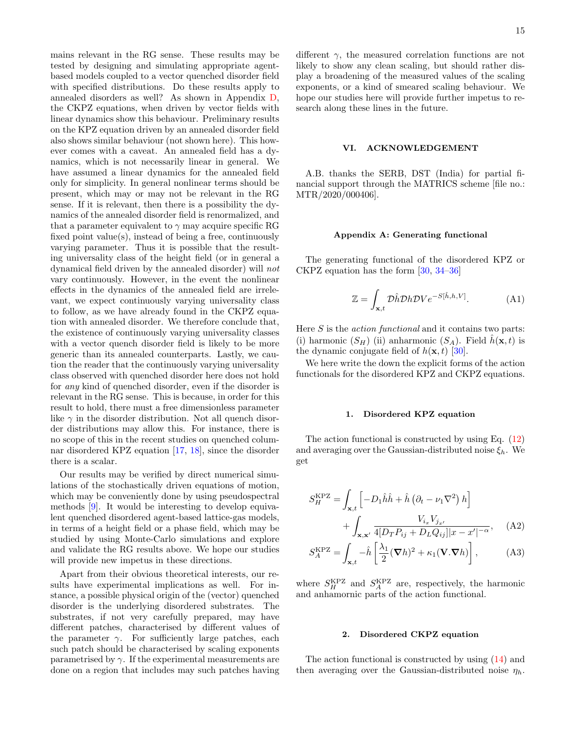mains relevant in the RG sense. These results may be tested by designing and simulating appropriate agentbased models coupled to a vector quenched disorder field with specified distributions. Do these results apply to annealed disorders as well? As shown in Appendix [D,](#page-16-3) the CKPZ equations, when driven by vector fields with linear dynamics show this behaviour. Preliminary results on the KPZ equation driven by an annealed disorder field also shows similar behaviour (not shown here). This however comes with a caveat. An annealed field has a dynamics, which is not necessarily linear in general. We have assumed a linear dynamics for the annealed field only for simplicity. In general nonlinear terms should be present, which may or may not be relevant in the RG sense. If it is relevant, then there is a possibility the dynamics of the annealed disorder field is renormalized, and that a parameter equivalent to  $\gamma$  may acquire specific RG fixed point value(s), instead of being a free, continuously varying parameter. Thus it is possible that the resulting universality class of the height field (or in general a dynamical field driven by the annealed disorder) will not vary continuously. However, in the event the nonlinear effects in the dynamics of the annealed field are irrelevant, we expect continuously varying universality class to follow, as we have already found in the CKPZ equation with annealed disorder. We therefore conclude that, the existence of continuously varying universality classes with a vector quench disorder field is likely to be more generic than its annealed counterparts. Lastly, we caution the reader that the continuously varying universality class observed with quenched disorder here does not hold for any kind of quenched disorder, even if the disorder is relevant in the RG sense. This is because, in order for this result to hold, there must a free dimensionless parameter like  $\gamma$  in the disorder distribution. Not all quench disorder distributions may allow this. For instance, there is no scope of this in the recent studies on quenched columnar disordered KPZ equation [\[17,](#page-18-14) [18\]](#page-18-15), since the disorder there is a scalar.

Our results may be verified by direct numerical simulations of the stochastically driven equations of motion, which may be conveniently done by using pseudospectral methods [\[9\]](#page-18-7). It would be interesting to develop equivalent quenched disordered agent-based lattice-gas models, in terms of a height field or a phase field, which may be studied by using Monte-Carlo simulations and explore and validate the RG results above. We hope our studies will provide new impetus in these directions.

Apart from their obvious theoretical interests, our results have experimental implications as well. For instance, a possible physical origin of the (vector) quenched disorder is the underlying disordered substrates. The substrates, if not very carefully prepared, may have different patches, characterised by different values of the parameter  $\gamma$ . For sufficiently large patches, each such patch should be characterised by scaling exponents parametrised by  $\gamma$ . If the experimental measurements are done on a region that includes may such patches having

different  $\gamma$ , the measured correlation functions are not likely to show any clean scaling, but should rather display a broadening of the measured values of the scaling exponents, or a kind of smeared scaling behaviour. We hope our studies here will provide further impetus to research along these lines in the future.

## VI. ACKNOWLEDGEMENT

A.B. thanks the SERB, DST (India) for partial financial support through the MATRICS scheme [file no.: MTR/2020/000406].

## Appendix A: Generating functional

The generating functional of the disordered KPZ or CKPZ equation has the form [\[30,](#page-18-27) [34–](#page-18-31)[36\]](#page-18-32)

$$
\mathbb{Z} = \int_{\mathbf{x},t} \mathcal{D}\hat{h} \mathcal{D}h \mathcal{D}V e^{-S[\hat{h},h,V]}.
$$
 (A1)

Here  $S$  is the *action functional* and it contains two parts: (i) harmonic  $(S_H)$  (ii) anharmonic  $(S_A)$ . Field  $\hat{h}(\mathbf{x},t)$  is the dynamic conjugate field of  $h(\mathbf{x}, t)$  [\[30\]](#page-18-27).

We here write the down the explicit forms of the action functionals for the disordered KPZ and CKPZ equations.

## <span id="page-14-0"></span>1. Disordered KPZ equation

The action functional is constructed by using Eq. [\(12\)](#page-3-1) and averaging over the Gaussian-distributed noise  $\xi_h$ . We get

$$
S_{H}^{\text{KPZ}} = \int_{\mathbf{x},t} \left[ -D_{1}\hat{h}\hat{h} + \hat{h}\left(\partial_{t} - \nu_{1}\nabla^{2}\right)h \right] + \int_{\mathbf{x},\mathbf{x'}} \frac{V_{i_{x}}V_{j_{x'}}}{4[D_{T}P_{ij} + D_{L}Q_{ij}||x - x'|^{-\alpha}}, \quad (A2)
$$

$$
S_A^{\text{KPZ}} = \int_{\mathbf{x},t} -\hat{h} \left[ \frac{\lambda_1}{2} (\mathbf{\nabla} h)^2 + \kappa_1 (\mathbf{V} . \mathbf{\nabla} h) \right], \tag{A3}
$$

where  $S_H^{\text{KPZ}}$  and  $S_A^{\text{KPZ}}$  are, respectively, the harmonic and anhamornic parts of the action functional.

## 2. Disordered CKPZ equation

The action functional is constructed by using [\(14\)](#page-3-3) and then averaging over the Gaussian-distributed noise  $\eta_h$ .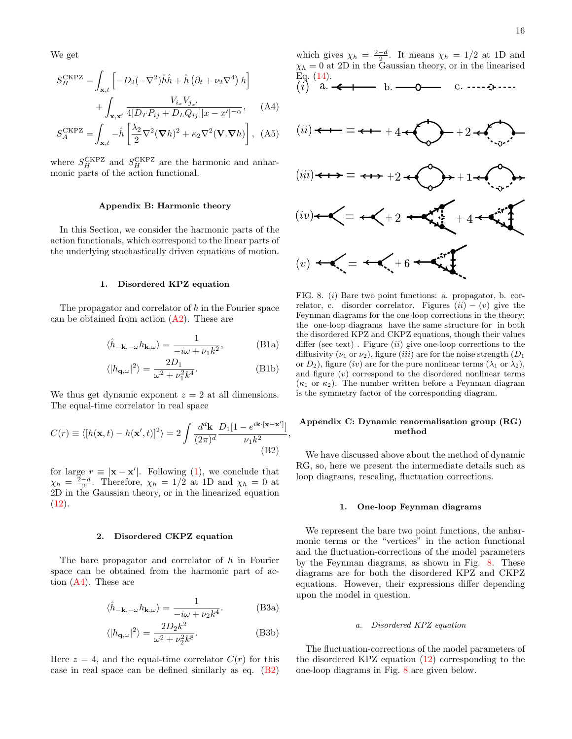We get

$$
S_H^{\text{CKPZ}} = \int_{\mathbf{x},t} \left[ -D_2(-\nabla^2)\hat{h}\hat{h} + \hat{h}\left(\partial_t + \nu_2\nabla^4\right)h \right] + \int_{\mathbf{x},\mathbf{x}'} \frac{V_{i_x}V_{j_{x'}}}{4[D_T P_{ij} + D_L Q_{ij}||x - x'|^{-\alpha}}, \quad \text{(A4)}
$$

$$
S_A^{\text{CKPZ}} = \int_{\mathbf{x},t} -\hat{h} \left[ \frac{\lambda_2}{2} \nabla^2 (\nabla h)^2 + \kappa_2 \nabla^2 (\mathbf{V}.\nabla h) \right], \text{ (A5)}
$$

where  $S_H^{\text{CKPZ}}$  and  $S_H^{\text{CKPZ}}$  are the harmonic and anharmonic parts of the action functional.

## Appendix B: Harmonic theory

In this Section, we consider the harmonic parts of the action functionals, which correspond to the linear parts of the underlying stochastically driven equations of motion.

#### <span id="page-15-1"></span>1. Disordered KPZ equation

The propagator and correlator of  $h$  in the Fourier space can be obtained from action  $(A2)$ . These are

$$
\langle \hat{h}_{-\mathbf{k},-\omega} h_{\mathbf{k},\omega} \rangle = \frac{1}{-i\omega + \nu_1 k^2},\tag{B1a}
$$

$$
\langle |h_{\mathbf{q},\omega}|^2 \rangle = \frac{2D_1}{\omega^2 + \nu_1^2 k^4}.
$$
 (B1b)

We thus get dynamic exponent  $z = 2$  at all dimensions. The equal-time correlator in real space

$$
C(r) \equiv \langle [h(\mathbf{x},t) - h(\mathbf{x}',t)]^2 \rangle = 2 \int \frac{d^d \mathbf{k}}{(2\pi)^d} \frac{D_1[1 - e^{i\mathbf{k} \cdot [\mathbf{x} - \mathbf{x}']}}{\nu_1 k^2},
$$
\n(B2)

for large  $r \equiv |\mathbf{x} - \mathbf{x}'|$ . Following [\(1\)](#page-1-3), we conclude that  $\chi_h = \frac{2-d}{2}$ . Therefore,  $\chi_h = 1/2$  at 1D and  $\chi_h = 0$  at 2D in the Gaussian theory, or in the linearized equation  $(12).$  $(12).$ 

#### <span id="page-15-3"></span>2. Disordered CKPZ equation

The bare propagator and correlator of h in Fourier space can be obtained from the harmonic part of action [\(A4\)](#page-15-4). These are

$$
\langle \hat{h}_{-\mathbf{k},-\omega} h_{\mathbf{k},\omega} \rangle = \frac{1}{-i\omega + \nu_2 k^4}.
$$
 (B3a)

$$
\langle |h_{\mathbf{q},\omega}|^2 \rangle = \frac{2D_2k^2}{\omega^2 + \nu_2^2 k^8}.
$$
 (B3b)

Here  $z = 4$ , and the equal-time correlator  $C(r)$  for this case in real space can be defined similarly as eq. [\(B2\)](#page-15-5)

<span id="page-15-4"></span>

<span id="page-15-6"></span>FIG. 8. (i) Bare two point functions: a. propagator, b. correlator, c. disorder correlator. Figures  $(ii) - (v)$  give the Feynman diagrams for the one-loop corrections in the theory; the one-loop diagrams have the same structure for in both the disordered KPZ and CKPZ equations, though their values differ (see text). Figure  $(ii)$  give one-loop corrections to the diffusivity ( $\nu_1$  or  $\nu_2$ ), figure (*iii*) are for the noise strength ( $D_1$ or  $D_2$ ), figure (iv) are for the pure nonlinear terms ( $\lambda_1$  or  $\lambda_2$ ), and figure (v) correspond to the disordered nonlinear terms  $(\kappa_1 \text{ or } \kappa_2)$ . The number written before a Feynman diagram is the symmetry factor of the corresponding diagram.

## <span id="page-15-0"></span>Appendix C: Dynamic renormalisation group (RG) method

<span id="page-15-5"></span>We have discussed above about the method of dynamic RG, so, here we present the intermediate details such as loop diagrams, rescaling, fluctuation corrections.

#### <span id="page-15-2"></span>1. One-loop Feynman diagrams

We represent the bare two point functions, the anharmonic terms or the "vertices" in the action functional and the fluctuation-corrections of the model parameters by the Feynman diagrams, as shown in Fig. [8.](#page-15-6) These diagrams are for both the disordered KPZ and CKPZ equations. However, their expressions differ depending upon the model in question.

#### a. Disordered KPZ equation

The fluctuation-corrections of the model parameters of the disordered KPZ equation [\(12\)](#page-3-1) corresponding to the one-loop diagrams in Fig. [8](#page-15-6) are given below.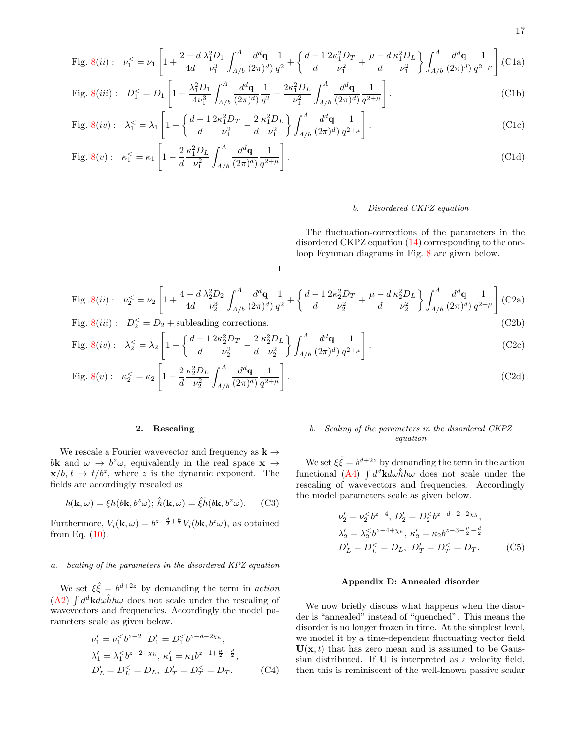<span id="page-16-1"></span>Fig. 8(*ii*): 
$$
\nu_1^{\le} = \nu_1 \left[ 1 + \frac{2 - d}{4d} \frac{\lambda_1^2 D_1}{\nu_1^3} \int_{A/b}^A \frac{d^d \mathbf{q}}{(2\pi)^d} \frac{1}{q^2} + \left\{ \frac{d - 1}{d} \frac{2\kappa_1^2 D_T}{\nu_1^2} + \frac{\mu - d}{d} \frac{\kappa_1^2 D_L}{\nu_1^2} \right\} \int_{A/b}^A \frac{d^d \mathbf{q}}{(2\pi)^d} \frac{1}{q^{2+\mu}} \right]
$$
(C1a)  
Fig. 8(*iii*) :  $D^{\le} = D_1 \left[ 1 + \frac{\lambda_1^2 D_1}{2} \int_{A}^A \frac{d^d \mathbf{q}}{dq} \frac{1}{2} + 2\kappa_1^2 D_L \int_{A}^A \frac{d^d \mathbf{q}}{dq} \frac{1}{2} \right]$  (C1b)

Fig. 8(*iii*): 
$$
D_1^{\leq} = D_1 \left[ 1 + \frac{\lambda_1 D_1}{4 \nu_1^3} \int_{A/b} \frac{d \mathbf{q}}{(2\pi)^d} \frac{1}{q^2} + \frac{2\lambda_1 D_L}{\nu_1^2} \int_{A/b} \frac{d \mathbf{q}}{(2\pi)^d} \frac{1}{q^{2+\mu}} \right].
$$
 (C1b)

$$
\text{Fig. 8}(iv): \quad \lambda_1^{\leq} = \lambda_1 \left[ 1 + \left\{ \frac{d-1}{d} \frac{2\kappa_1^2 D_T}{\nu_1^2} - \frac{2}{d} \frac{\kappa_1^2 D_L}{\nu_1^2} \right\} \int_{A/b}^A \frac{d^d \mathbf{q}}{(2\pi)^d} \frac{1}{q^{2+\mu}} \right]. \tag{C1c}
$$

Fig. 8(v): 
$$
\kappa_1^{\leq} = \kappa_1 \left[ 1 - \frac{2}{d} \frac{\kappa_1^2 D_L}{\nu_1^2} \int_{A/b}^A \frac{d^d \mathbf{q}}{(2\pi)^d} \frac{1}{q^{2+\mu}} \right].
$$
 (C1d)

#### b. Disordered CKPZ equation

The fluctuation-corrections of the parameters in the disordered CKPZ equation [\(14\)](#page-3-3) corresponding to the oneloop Feynman diagrams in Fig. [8](#page-15-6) are given below.

<span id="page-16-2"></span>Fig. 8(*ii*): 
$$
\nu_2^{\le} = \nu_2 \left[ 1 + \frac{4 - d}{4d} \frac{\lambda_2^2 D_2}{\nu_2^3} \int_{A/b}^A \frac{d^d \mathbf{q}}{(2\pi)^d} \frac{1}{q^2} + \left\{ \frac{d - 1}{d} \frac{2\kappa_2^2 D_T}{\nu_2^2} + \frac{\mu - d}{d} \frac{\kappa_2^2 D_L}{\nu_2^2} \right\} \int_{A/b}^A \frac{d^d \mathbf{q}}{(2\pi)^d} \frac{1}{q^{2+\mu}} \right] (C2a)
$$
  
Fig. 8(*iii*):  $D_2^{\le} = D_2 + \text{ subleading corrections.}$  (C2b)

$$
\text{Fig. 8}(iv): \quad \lambda_2^{\leq} = \lambda_2 \left[ 1 + \left\{ \frac{d-1}{d} \frac{2\kappa_2^2 D_T}{\nu_2^2} - \frac{2}{d} \frac{\kappa_2^2 D_L}{\nu_2^2} \right\} \int_{A/b}^A \frac{d^d \mathbf{q}}{(2\pi)^d} \frac{1}{q^{2+\mu}} \right]. \tag{C2c}
$$

Fig. 8(v): 
$$
\kappa_2^{\leq} = \kappa_2 \left[ 1 - \frac{2}{d} \frac{\kappa_2^2 D_L}{\nu_2^2} \int_{\Lambda/b}^A \frac{d^d \mathbf{q}}{(2\pi)^d} \frac{1}{q^{2+\mu}} \right].
$$
 (C2d)

## <span id="page-16-0"></span>2. Rescaling

We rescale a Fourier wavevector and frequency as  $\mathbf{k} \rightarrow$ bk and  $\omega \to b^z \omega$ , equivalently in the real space  $\mathbf{x} \to$  $\mathbf{x}/b$ ,  $t \to t/b^z$ , where z is the dynamic exponent. The fields are accordingly rescaled as

$$
h(\mathbf{k}, \omega) = \xi h(b\mathbf{k}, b^z \omega); \,\hat{h}(\mathbf{k}, \omega) = \hat{\xi}\hat{h}(b\mathbf{k}, b^z \omega). \tag{C3}
$$

Furthermore,  $V_i(\mathbf{k}, \omega) = b^{z + \frac{d}{2} + \frac{\mu}{2}} V_i(b\mathbf{k}, b^z\omega)$ , as obtained from Eq.  $(10)$ .

# a. Scaling of the parameters in the disordered KPZ equation

We set  $\xi \hat{\xi} = b^{d+2z}$  by demanding the term in action [\(A2\)](#page-14-0)  $\int d^d{\bf k}d\omega \hat{h}h\omega$  does not scale under the rescaling of wavevectors and frequencies. Accordingly the model parameters scale as given below.

$$
\nu'_1 = \nu_1^{\leq} b^{z-2}, D'_1 = D_1^{\leq} b^{z-d-2\chi_h},
$$
  
\n
$$
\lambda'_1 = \lambda_1^{\leq} b^{z-2+\chi_h}, \kappa'_1 = \kappa_1 b^{z-1+\frac{\mu}{2}-\frac{d}{2}},
$$
  
\n
$$
D'_L = D_L^{\leq} = D_L, D'_T = D_T^{\leq} = D_T.
$$
 (C4)

# b. Scaling of the parameters in the disordered CKPZ equation

We set  $\xi \hat{\xi} = b^{d+2z}$  by demanding the term in the action functional [\(A4\)](#page-15-4)  $\int d^d{\bf k}d\omega \hat{h}h\omega$  does not scale under the rescaling of wavevectors and frequencies. Accordingly the model parameters scale as given below.

$$
\nu'_2 = \nu_2^{\le} b^{z-4}, \ D'_2 = D_2^{\le} b^{z-d-2-2\chi_h},
$$
  
\n
$$
\lambda'_2 = \lambda_2^{\le} b^{z-4+\chi_h}, \ \kappa'_2 = \kappa_2 b^{z-3+\frac{\mu}{2}-\frac{d}{2}}
$$
  
\n
$$
D'_L = D_L^{\le} = D_L, \ D'_T = D_T^{\le} = D_T.
$$
 (C5)

# <span id="page-16-3"></span>Appendix D: Annealed disorder

We now briefly discuss what happens when the disorder is "annealed" instead of "quenched". This means the disorder is no longer frozen in time. At the simplest level, we model it by a time-dependent fluctuating vector field  $U(x, t)$  that has zero mean and is assumed to be Gaussian distributed. If U is interpreted as a velocity field, then this is reminiscent of the well-known passive scalar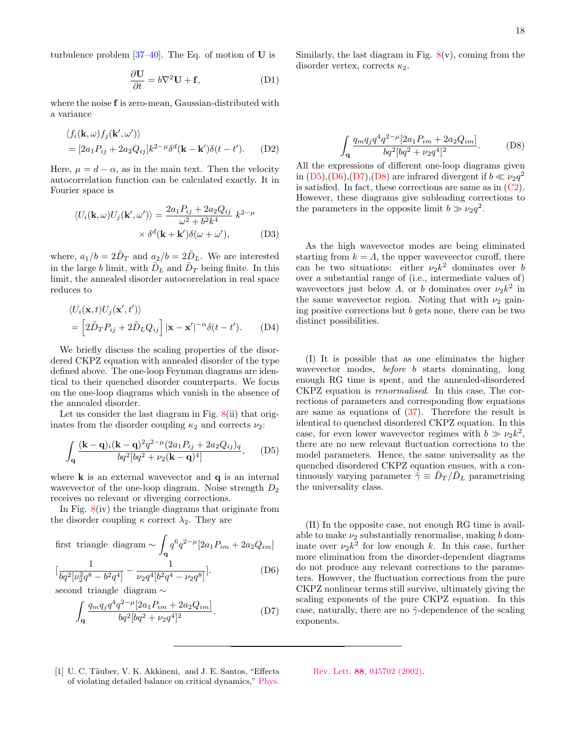turbulence problem  $[37-40]$  $[37-40]$ . The Eq. of motion of U is

$$
\frac{\partial \mathbf{U}}{\partial t} = b \nabla^2 \mathbf{U} + \mathbf{f},\tag{D1}
$$

where the noise f is zero-mean, Gaussian-distributed with a variance

$$
\langle f_i(\mathbf{k}, \omega) f_j(\mathbf{k}', \omega') \rangle
$$
  
=  $[2a_1 P_{ij} + 2a_2 Q_{ij}] k^{2-\mu} \delta^d(\mathbf{k} - \mathbf{k}') \delta(t - t').$  (D2)

Here,  $\mu = d - \alpha$ , as in the main text. Then the velocity autocorrelation function can be calculated exactly. It in Fourier space is

$$
\langle U_i(\mathbf{k}, \omega) U_j(\mathbf{k}', \omega') \rangle = \frac{2a_1 P_{ij} + 2a_2 Q_{ij}}{\omega^2 + b^2 k^4} k^{2-\mu}
$$

$$
\times \delta^d(\mathbf{k} + \mathbf{k}') \delta(\omega + \omega'), \tag{D3}
$$

where,  $a_1/b = 2\tilde{D}_T$  and  $a_2/b = 2\tilde{D}_L$ . We are interested in the large  $b$  limit, with  $\tilde{D}_L$  and  $\tilde{D}_T$  being finite. In this limit, the annealed disorder autocorrelation in real space reduces to

$$
\langle U_i(\mathbf{x},t)U_j(\mathbf{x}',t')\rangle
$$
  
= 
$$
\left[2\tilde{D}_T P_{ij} + 2\tilde{D}_L Q_{ij}\right]|\mathbf{x} - \mathbf{x}'|^{-\alpha}\delta(t-t').
$$
 (D4)

We briefly discuss the scaling properties of the disordered CKPZ equation with annealed disorder of the type defined above. The one-loop Feynman diagrams are identical to their quenched disorder counterparts. We focus on the one-loop diagrams which vanish in the absence of the annealed disorder.

Let us consider the last diagram in Fig.  $8(ii)$  $8(ii)$  that originates from the disorder coupling  $\kappa_2$  and corrects  $\nu_2$ :

$$
\int_{\mathbf{q}} \frac{(\mathbf{k} - \mathbf{q})_i (\mathbf{k} - \mathbf{q})^2 q^{2 - \mu} (2a_1 P_{ij} + 2a_2 Q_{ij})_q}{b q^2 [b q^2 + \nu_2 (\mathbf{k} - \mathbf{q})^4]}, \quad (D5)
$$

where  $\bf{k}$  is an external wavevector and  $\bf{q}$  is an internal wavevector of the one-loop diagram. Noise strength  $D_2$ receives no relevant or diverging corrections.

In Fig. [8\(](#page-15-6)iv) the triangle diagrams that originate from the disorder coupling  $\kappa$  correct  $\lambda_2$ . They are

first triangle diagram 
$$
\sim \int_{\mathbf{q}} q^6 q^{2-\mu} [2a_1 P_{im} + 2a_2 Q_{im}]
$$
  
\n
$$
[\frac{1}{bq^2[\nu_2^2 q^8 - b^2 q^4]} - \frac{1}{\nu_2 q^4 [b^2 q^4 - \nu_2 q^8]}].
$$
\n(D6)

second triangle diagram ∼

$$
\int_{\mathbf{q}} \frac{q_m q_j q^4 q^{2-\mu} [2a_1 P_{im} + 2a_2 Q_{im}]}{bq^2 [bq^2 + \nu_2 q^4]^2}.
$$
 (D7)

Similarly, the last diagram in Fig.  $8(v)$  $8(v)$ , coming from the disorder vertex, corrects  $\kappa_2$ .

<span id="page-17-4"></span>
$$
\int_{\mathbf{q}} \frac{q_m q_j q^4 q^{2-\mu} [2a_1 P_{im} + 2a_2 Q_{im}]}{bq^2 [bq^2 + \nu_2 q^4]^2}.
$$
 (D8)

All the expressions of different one-loop diagrams given in  $(D5)$ , $(D6)$ , $(D7)$ , $(D8)$  are infrared divergent if  $b \ll \nu_2q^2$ is satisfied. In fact, these corrections are same as in  $(C2)$ . However, these diagrams give subleading corrections to the parameters in the opposite limit  $b \gg \nu_2 q^2$ .

As the high wavevector modes are being eliminated starting from  $k = \Lambda$ , the upper waveveector curoff, there can be two situations: either  $\nu_2 k^2$  dominates over b over a substantial range of (i.e., intermediate values of) wavevectors just below  $\Lambda$ , or b dominates over  $\nu_2 k^2$  in the same wavevector region. Noting that with  $\nu_2$  gaining positive corrections but  $b$  gets none, there can be two distinct possibilities.

(I) It is possible that as one eliminates the higher wavevector modes, *before b* starts dominating, long enough RG time is spent, and the annealed-disordered CKPZ equation is renormalised. In this case, The corrections of parameters and corresponding flow equations are same as equations of [\(37\)](#page-8-0). Therefore the result is identical to quenched disordered CKPZ equation. In this case, for even lower wavevector regimes with  $b \gg \nu_2 k^2$ , there are no new relevant fluctuation corrections to the model parameters. Hence, the same universality as the quenched disordered CKPZ equation ensues, with a continuously varying parameter  $\tilde{\gamma} \equiv \tilde{D}_T / \tilde{D}_L$  parametrising the universality class.

<span id="page-17-2"></span><span id="page-17-1"></span>(II) In the opposite case, not enough RG time is available to make  $\nu_2$  substantially renormalise, making b dominate over  $\nu_2 k^2$  for low enough k. In this case, further more elimination from the disorder-dependent diagrams do not produce any relevant corrections to the parameters. However, the fluctuation corrections from the pure CKPZ nonlinear terms still survive, ultimately giving the scaling exponents of the pure CKPZ equation. In this case, naturally, there are no  $\tilde{\gamma}$ -dependence of the scaling exponents.

<span id="page-17-0"></span>[1] U. C. Täuber, V. K. Akkineni, and J. E. Santos, "Effects of violating detailed balance on critical dynamics," [Phys.](http://dx.doi.org/ 10.1103/PhysRevLett.88.045702)

<span id="page-17-3"></span>Rev. Lett. 88[, 045702 \(2002\).](http://dx.doi.org/ 10.1103/PhysRevLett.88.045702)